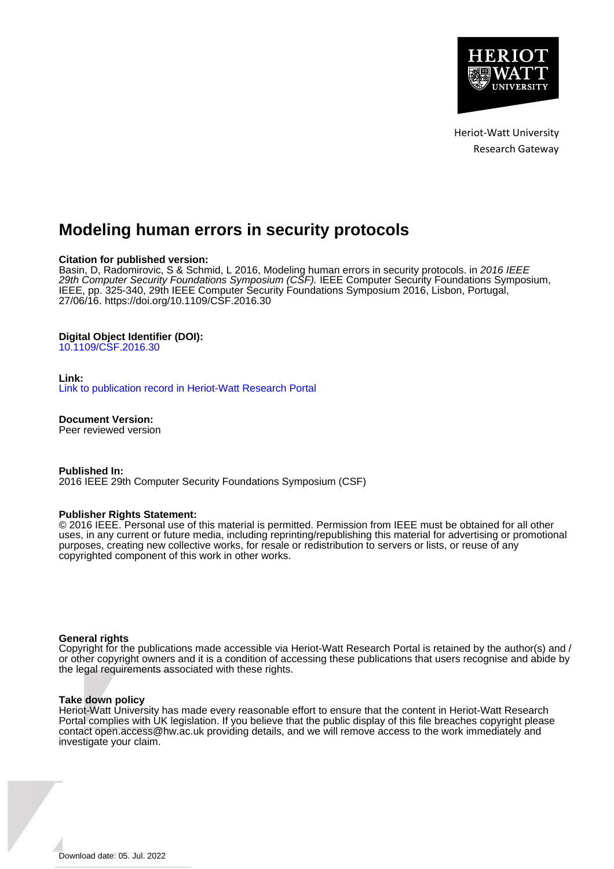

Heriot-Watt University Research Gateway

## **Modeling human errors in security protocols**

## **Citation for published version:**

Basin, D, Radomirovic, S & Schmid, L 2016, Modeling human errors in security protocols. in 2016 IEEE 29th Computer Security Foundations Symposium (CSF). IEEE Computer Security Foundations Symposium, IEEE, pp. 325-340, 29th IEEE Computer Security Foundations Symposium 2016, Lisbon, Portugal, 27/06/16.<https://doi.org/10.1109/CSF.2016.30>

## **Digital Object Identifier (DOI):**

[10.1109/CSF.2016.30](https://doi.org/10.1109/CSF.2016.30)

## **Link:**

[Link to publication record in Heriot-Watt Research Portal](https://researchportal.hw.ac.uk/en/publications/3a3e4581-3e64-4a55-a9f8-cd29482ef19b)

**Document Version:** Peer reviewed version

**Published In:** 2016 IEEE 29th Computer Security Foundations Symposium (CSF)

## **Publisher Rights Statement:**

© 2016 IEEE. Personal use of this material is permitted. Permission from IEEE must be obtained for all other uses, in any current or future media, including reprinting/republishing this material for advertising or promotional purposes, creating new collective works, for resale or redistribution to servers or lists, or reuse of any copyrighted component of this work in other works.

## **General rights**

Copyright for the publications made accessible via Heriot-Watt Research Portal is retained by the author(s) and / or other copyright owners and it is a condition of accessing these publications that users recognise and abide by the legal requirements associated with these rights.

## **Take down policy**

Heriot-Watt University has made every reasonable effort to ensure that the content in Heriot-Watt Research Portal complies with UK legislation. If you believe that the public display of this file breaches copyright please contact open.access@hw.ac.uk providing details, and we will remove access to the work immediately and investigate your claim.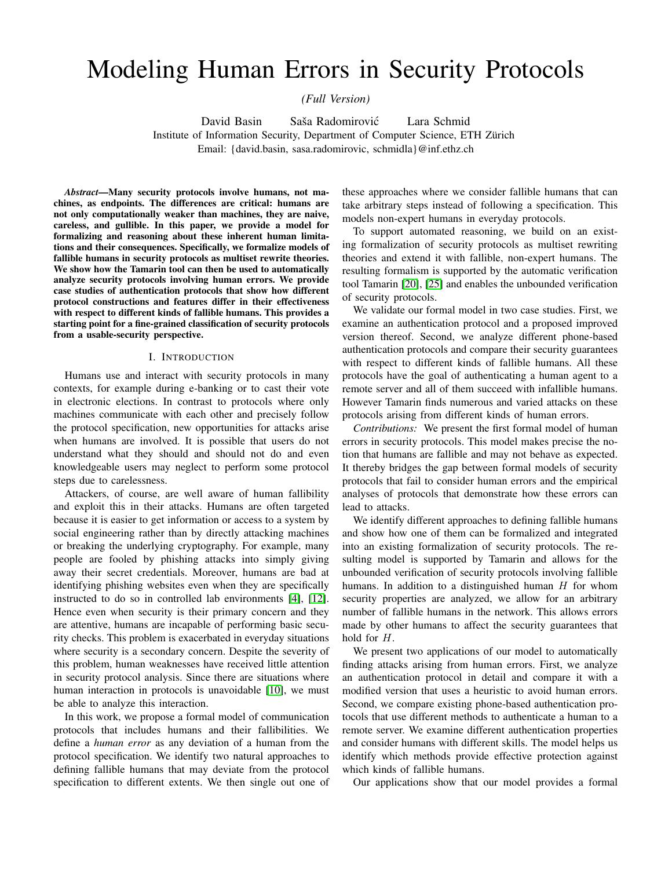# Modeling Human Errors in Security Protocols

*(Full Version)*

David Basin Saša Radomirović Lara Schmid Institute of Information Security, Department of Computer Science, ETH Zürich Email: {david.basin, sasa.radomirovic, schmidla}@inf.ethz.ch

*Abstract*—Many security protocols involve humans, not machines, as endpoints. The differences are critical: humans are not only computationally weaker than machines, they are naive, careless, and gullible. In this paper, we provide a model for formalizing and reasoning about these inherent human limitations and their consequences. Specifically, we formalize models of fallible humans in security protocols as multiset rewrite theories. We show how the Tamarin tool can then be used to automatically analyze security protocols involving human errors. We provide case studies of authentication protocols that show how different protocol constructions and features differ in their effectiveness with respect to different kinds of fallible humans. This provides a starting point for a fine-grained classification of security protocols from a usable-security perspective.

## I. INTRODUCTION

Humans use and interact with security protocols in many contexts, for example during e-banking or to cast their vote in electronic elections. In contrast to protocols where only machines communicate with each other and precisely follow the protocol specification, new opportunities for attacks arise when humans are involved. It is possible that users do not understand what they should and should not do and even knowledgeable users may neglect to perform some protocol steps due to carelessness.

Attackers, of course, are well aware of human fallibility and exploit this in their attacks. Humans are often targeted because it is easier to get information or access to a system by social engineering rather than by directly attacking machines or breaking the underlying cryptography. For example, many people are fooled by phishing attacks into simply giving away their secret credentials. Moreover, humans are bad at identifying phishing websites even when they are specifically instructed to do so in controlled lab environments [\[4\]](#page-12-0), [\[12\]](#page-13-0). Hence even when security is their primary concern and they are attentive, humans are incapable of performing basic security checks. This problem is exacerbated in everyday situations where security is a secondary concern. Despite the severity of this problem, human weaknesses have received little attention in security protocol analysis. Since there are situations where human interaction in protocols is unavoidable [\[10\]](#page-13-1), we must be able to analyze this interaction.

In this work, we propose a formal model of communication protocols that includes humans and their fallibilities. We define a *human error* as any deviation of a human from the protocol specification. We identify two natural approaches to defining fallible humans that may deviate from the protocol specification to different extents. We then single out one of these approaches where we consider fallible humans that can take arbitrary steps instead of following a specification. This models non-expert humans in everyday protocols.

To support automated reasoning, we build on an existing formalization of security protocols as multiset rewriting theories and extend it with fallible, non-expert humans. The resulting formalism is supported by the automatic verification tool Tamarin [\[20\]](#page-13-2), [\[25\]](#page-13-3) and enables the unbounded verification of security protocols.

We validate our formal model in two case studies. First, we examine an authentication protocol and a proposed improved version thereof. Second, we analyze different phone-based authentication protocols and compare their security guarantees with respect to different kinds of fallible humans. All these protocols have the goal of authenticating a human agent to a remote server and all of them succeed with infallible humans. However Tamarin finds numerous and varied attacks on these protocols arising from different kinds of human errors.

*Contributions:* We present the first formal model of human errors in security protocols. This model makes precise the notion that humans are fallible and may not behave as expected. It thereby bridges the gap between formal models of security protocols that fail to consider human errors and the empirical analyses of protocols that demonstrate how these errors can lead to attacks.

We identify different approaches to defining fallible humans and show how one of them can be formalized and integrated into an existing formalization of security protocols. The resulting model is supported by Tamarin and allows for the unbounded verification of security protocols involving fallible humans. In addition to a distinguished human  $H$  for whom security properties are analyzed, we allow for an arbitrary number of fallible humans in the network. This allows errors made by other humans to affect the security guarantees that hold for H.

We present two applications of our model to automatically finding attacks arising from human errors. First, we analyze an authentication protocol in detail and compare it with a modified version that uses a heuristic to avoid human errors. Second, we compare existing phone-based authentication protocols that use different methods to authenticate a human to a remote server. We examine different authentication properties and consider humans with different skills. The model helps us identify which methods provide effective protection against which kinds of fallible humans.

Our applications show that our model provides a formal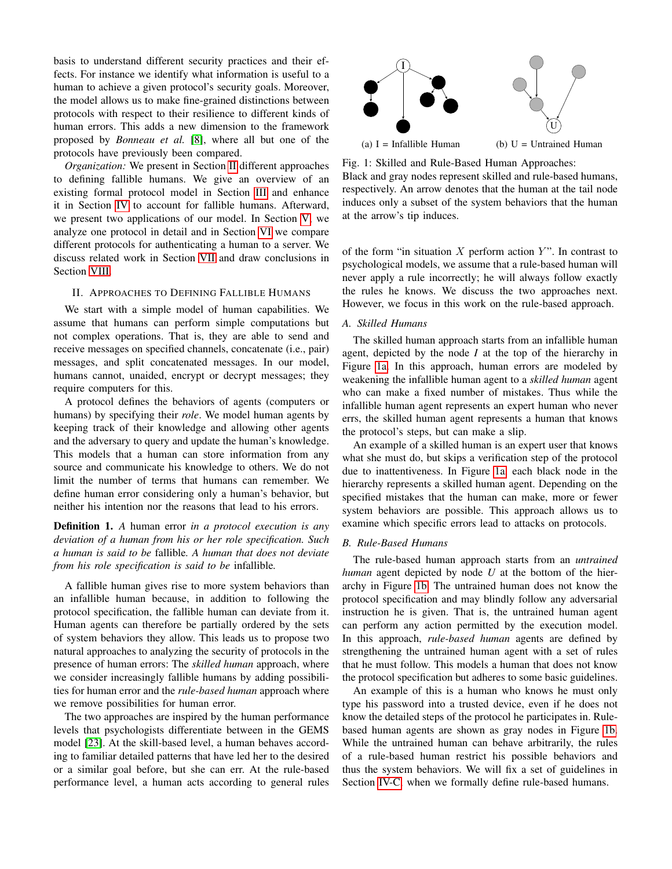basis to understand different security practices and their effects. For instance we identify what information is useful to a human to achieve a given protocol's security goals. Moreover, the model allows us to make fine-grained distinctions between protocols with respect to their resilience to different kinds of human errors. This adds a new dimension to the framework proposed by *Bonneau et al.* [\[8\]](#page-13-4), where all but one of the protocols have previously been compared.

*Organization:* We present in Section [II](#page-2-0) different approaches to defining fallible humans. We give an overview of an existing formal protocol model in Section [III](#page-3-0) and enhance it in Section [IV](#page-5-0) to account for fallible humans. Afterward, we present two applications of our model. In Section [V,](#page-7-0) we analyze one protocol in detail and in Section [VI](#page-9-0) we compare different protocols for authenticating a human to a server. We discuss related work in Section [VII](#page-12-1) and draw conclusions in Section [VIII.](#page-12-2)

## <span id="page-2-0"></span>II. APPROACHES TO DEFINING FALLIBLE HUMANS

We start with a simple model of human capabilities. We assume that humans can perform simple computations but not complex operations. That is, they are able to send and receive messages on specified channels, concatenate (i.e., pair) messages, and split concatenated messages. In our model, humans cannot, unaided, encrypt or decrypt messages; they require computers for this.

A protocol defines the behaviors of agents (computers or humans) by specifying their *role*. We model human agents by keeping track of their knowledge and allowing other agents and the adversary to query and update the human's knowledge. This models that a human can store information from any source and communicate his knowledge to others. We do not limit the number of terms that humans can remember. We define human error considering only a human's behavior, but neither his intention nor the reasons that lead to his errors.

## Definition 1. *A* human error *in a protocol execution is any deviation of a human from his or her role specification. Such a human is said to be* fallible*. A human that does not deviate from his role specification is said to be* infallible*.*

A fallible human gives rise to more system behaviors than an infallible human because, in addition to following the protocol specification, the fallible human can deviate from it. Human agents can therefore be partially ordered by the sets of system behaviors they allow. This leads us to propose two natural approaches to analyzing the security of protocols in the presence of human errors: The *skilled human* approach, where we consider increasingly fallible humans by adding possibilities for human error and the *rule-based human* approach where we remove possibilities for human error.

The two approaches are inspired by the human performance levels that psychologists differentiate between in the GEMS model [\[23\]](#page-13-5). At the skill-based level, a human behaves according to familiar detailed patterns that have led her to the desired or a similar goal before, but she can err. At the rule-based performance level, a human acts according to general rules

<span id="page-2-1"></span>

Fig. 1: Skilled and Rule-Based Human Approaches: Black and gray nodes represent skilled and rule-based humans, respectively. An arrow denotes that the human at the tail node induces only a subset of the system behaviors that the human at the arrow's tip induces.

of the form "in situation  $X$  perform action  $Y$ ". In contrast to psychological models, we assume that a rule-based human will never apply a rule incorrectly; he will always follow exactly the rules he knows. We discuss the two approaches next. However, we focus in this work on the rule-based approach.

## *A. Skilled Humans*

The skilled human approach starts from an infallible human agent, depicted by the node *I* at the top of the hierarchy in Figure [1a.](#page-2-1) In this approach, human errors are modeled by weakening the infallible human agent to a *skilled human* agent who can make a fixed number of mistakes. Thus while the infallible human agent represents an expert human who never errs, the skilled human agent represents a human that knows the protocol's steps, but can make a slip.

An example of a skilled human is an expert user that knows what she must do, but skips a verification step of the protocol due to inattentiveness. In Figure [1a,](#page-2-1) each black node in the hierarchy represents a skilled human agent. Depending on the specified mistakes that the human can make, more or fewer system behaviors are possible. This approach allows us to examine which specific errors lead to attacks on protocols.

#### *B. Rule-Based Humans*

The rule-based human approach starts from an *untrained human* agent depicted by node *U* at the bottom of the hierarchy in Figure [1b.](#page-2-1) The untrained human does not know the protocol specification and may blindly follow any adversarial instruction he is given. That is, the untrained human agent can perform any action permitted by the execution model. In this approach, *rule-based human* agents are defined by strengthening the untrained human agent with a set of rules that he must follow. This models a human that does not know the protocol specification but adheres to some basic guidelines.

An example of this is a human who knows he must only type his password into a trusted device, even if he does not know the detailed steps of the protocol he participates in. Rulebased human agents are shown as gray nodes in Figure [1b.](#page-2-1) While the untrained human can behave arbitrarily, the rules of a rule-based human restrict his possible behaviors and thus the system behaviors. We will fix a set of guidelines in Section [IV-C,](#page-5-1) when we formally define rule-based humans.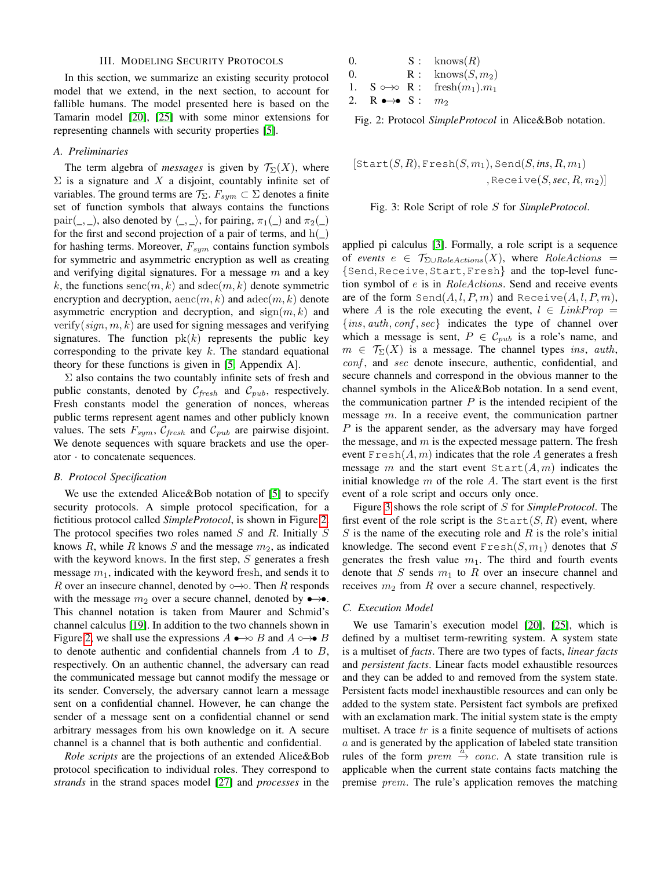## III. MODELING SECURITY PROTOCOLS

<span id="page-3-0"></span>In this section, we summarize an existing security protocol model that we extend, in the next section, to account for fallible humans. The model presented here is based on the Tamarin model [\[20\]](#page-13-2), [\[25\]](#page-13-3) with some minor extensions for representing channels with security properties [\[5\]](#page-13-6).

## *A. Preliminaries*

The term algebra of *messages* is given by  $\mathcal{T}_{\Sigma}(X)$ , where  $\Sigma$  is a signature and X a disjoint, countably infinite set of variables. The ground terms are  $\mathcal{T}_{\Sigma}$ .  $F_{sym} \subset \Sigma$  denotes a finite set of function symbols that always contains the functions  $pair(\_,\_)$ , also denoted by  $\langle \_,\_\rangle$ , for pairing,  $\pi_1(\_)$  and  $\pi_2(\_)$ for the first and second projection of a pair of terms, and  $h(\_)$ for hashing terms. Moreover,  $F_{sym}$  contains function symbols for symmetric and asymmetric encryption as well as creating and verifying digital signatures. For a message  $m$  and a key k, the functions senc $(m, k)$  and sdec $(m, k)$  denote symmetric encryption and decryption,  $aenc(m, k)$  and  $adec(m, k)$  denote asymmetric encryption and decryption, and  $sign(m, k)$  and verify( $sign, m, k$ ) are used for signing messages and verifying signatures. The function  $pk(k)$  represents the public key corresponding to the private key  $k$ . The standard equational theory for these functions is given in [\[5,](#page-13-6) Appendix A].

 $\Sigma$  also contains the two countably infinite sets of fresh and public constants, denoted by  $C_{\text{free}}$  and  $C_{\text{pub}}$ , respectively. Fresh constants model the generation of nonces, whereas public terms represent agent names and other publicly known values. The sets  $F_{sym}$ ,  $C_{fresh}$  and  $C_{pub}$  are pairwise disjoint. We denote sequences with square brackets and use the operator · to concatenate sequences.

#### *B. Protocol Specification*

We use the extended Alice&Bob notation of [\[5\]](#page-13-6) to specify security protocols. A simple protocol specification, for a fictitious protocol called *SimpleProtocol*, is shown in Figure [2.](#page-3-1) The protocol specifies two roles named  $S$  and  $R$ . Initially  $S$ knows R, while R knows S and the message  $m_2$ , as indicated with the keyword knows. In the first step,  $S$  generates a fresh message  $m_1$ , indicated with the keyword fresh, and sends it to R over an insecure channel, denoted by  $\circ \rightarrow \circ$ . Then R responds with the message  $m_2$  over a secure channel, denoted by  $\rightarrow \rightarrow$ . This channel notation is taken from Maurer and Schmid's channel calculus [\[19\]](#page-13-7). In addition to the two channels shown in Figure [2,](#page-3-1) we shall use the expressions  $A \rightarrow \infty B$  and  $A \rightarrow \infty B$ to denote authentic and confidential channels from  $A$  to  $B$ , respectively. On an authentic channel, the adversary can read the communicated message but cannot modify the message or its sender. Conversely, the adversary cannot learn a message sent on a confidential channel. However, he can change the sender of a message sent on a confidential channel or send arbitrary messages from his own knowledge on it. A secure channel is a channel that is both authentic and confidential.

*Role scripts* are the projections of an extended Alice&Bob protocol specification to individual roles. They correspond to *strands* in the strand spaces model [\[27\]](#page-13-8) and *processes* in the

<span id="page-3-1"></span>

| $\Omega$ . |                                                    | $S: \; \; \text{knows}(R)$                        |
|------------|----------------------------------------------------|---------------------------------------------------|
| $\Omega$ . |                                                    | $R: \; \; \text{knows}(S, m_2)$                   |
|            |                                                    | 1. $S \rightarrow \infty$ R : fresh $(m_1) . m_1$ |
|            | 2. $\mathbb{R} \longrightarrow \mathbb{S}$ : $m_2$ |                                                   |

Fig. 2: Protocol *SimpleProtocol* in Alice&Bob notation.

<span id="page-3-2"></span>
$$
[Start(S, R), \text{Fresh}(S, m_1), Send(S, ins, R, m_1), \text{Receive}(S, sec, R, m_2)]
$$

Fig. 3: Role Script of role 
$$
S
$$
 for SimpleProtocol.

applied pi calculus [\[3\]](#page-12-3). Formally, a role script is a sequence of *events*  $e \in \mathcal{T}_{\Sigma \cup RoleActions}(X)$ , where  $RoleActions =$ {Send, Receive, Start, Fresh} and the top-level function symbol of  $e$  is in  $RoleActions$ . Send and receive events are of the form  $Send(A, l, P, m)$  and  $Receiving(A, l, P, m)$ , where A is the role executing the event,  $l \in LinkProp$  ${\{ins,auth, conf, sec\}}$  indicates the type of channel over which a message is sent,  $P \in C_{pub}$  is a role's name, and  $m \in \mathcal{T}_{\Sigma}(X)$  is a message. The channel types ins, auth, conf, and sec denote insecure, authentic, confidential, and secure channels and correspond in the obvious manner to the channel symbols in the Alice&Bob notation. In a send event, the communication partner  $P$  is the intended recipient of the message m. In a receive event, the communication partner P is the apparent sender, as the adversary may have forged the message, and  $m$  is the expected message pattern. The fresh event  $F \text{resh}(A, m)$  indicates that the role A generates a fresh message m and the start event  $Start(A, m)$  indicates the initial knowledge  $m$  of the role  $A$ . The start event is the first event of a role script and occurs only once.

Figure [3](#page-3-2) shows the role script of S for *SimpleProtocol*. The first event of the role script is the  $Start(S, R)$  event, where S is the name of the executing role and  $R$  is the role's initial knowledge. The second event  $Fresh(S, m_1)$  denotes that S generates the fresh value  $m_1$ . The third and fourth events denote that  $S$  sends  $m_1$  to  $R$  over an insecure channel and receives  $m_2$  from R over a secure channel, respectively.

#### *C. Execution Model*

We use Tamarin's execution model [\[20\]](#page-13-2), [\[25\]](#page-13-3), which is defined by a multiset term-rewriting system. A system state is a multiset of *facts*. There are two types of facts, *linear facts* and *persistent facts*. Linear facts model exhaustible resources and they can be added to and removed from the system state. Persistent facts model inexhaustible resources and can only be added to the system state. Persistent fact symbols are prefixed with an exclamation mark. The initial system state is the empty multiset. A trace  $tr$  is a finite sequence of multisets of actions  $a$  and is generated by the application of labeled state transition rules of the form  $\overrightarrow{prem}$   $\overrightarrow{a}$  conc. A state transition rule is applicable when the current state contains facts matching the premise prem. The rule's application removes the matching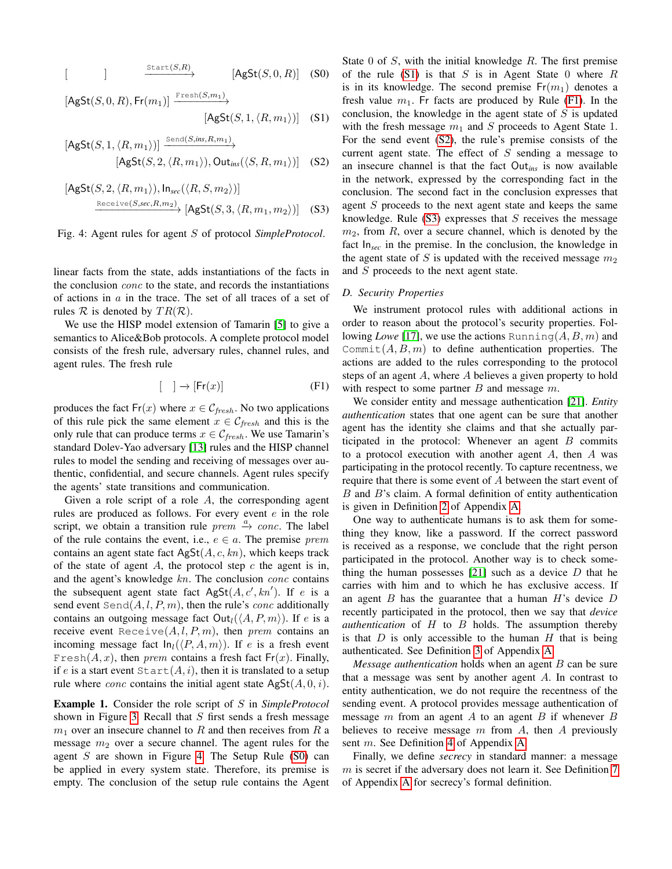<span id="page-4-0"></span>
$$
[ \qquad ] \qquad \xrightarrow{\text{Start}(S,R)} \qquad [AgSt(S, 0, R)] \quad (S0)
$$

$$
[\mathsf{AgSt}(S,0,R),\mathsf{Fr}(m_1)] \xrightarrow{\text{Fresh}(S,m_1)} [\mathsf{AgSt}(S,1,\langle R,m_1 \rangle)] \quad \text{(S1)}
$$

$$
[AgSt(S, 1, \langle R, m_1 \rangle)] \xrightarrow{\text{Send}(S, ins, R, m_1)} \text{[AgSt}(S, 2, \langle R, m_1 \rangle), \text{Out}_{ins}(\langle S, R, m_1 \rangle)] \quad (S2)
$$

$$
[AgSt(S, 2, \langle R, m_1 \rangle), In_{sec}(\langle R, S, m_2 \rangle)]
$$
  
\n
$$
\xrightarrow{\text{Receive}(S, sec, R, m_2)} [AgSt(S, 3, \langle R, m_1, m_2 \rangle)]
$$
 (S3)

## Fig. 4: Agent rules for agent S of protocol *SimpleProtocol*.

linear facts from the state, adds instantiations of the facts in the conclusion conc to the state, and records the instantiations of actions in  $a$  in the trace. The set of all traces of a set of rules  $\mathcal R$  is denoted by  $TR(\mathcal R)$ .

We use the HISP model extension of Tamarin [\[5\]](#page-13-6) to give a semantics to Alice&Bob protocols. A complete protocol model consists of the fresh rule, adversary rules, channel rules, and agent rules. The fresh rule

<span id="page-4-1"></span>
$$
[ \quad ] \rightarrow [Fr(x)] \tag{F1}
$$

produces the fact Fr(x) where  $x \in \mathcal{C}_{\text{fresh}}$ . No two applications of this rule pick the same element  $x \in \mathcal{C}_{\text{fresh}}$  and this is the only rule that can produce terms  $x \in \mathcal{C}_{\text{free}}$ . We use Tamarin's standard Dolev-Yao adversary [\[13\]](#page-13-9) rules and the HISP channel rules to model the sending and receiving of messages over authentic, confidential, and secure channels. Agent rules specify the agents' state transitions and communication.

Given a role script of a role  $A$ , the corresponding agent rules are produced as follows. For every event  $e$  in the role script, we obtain a transition rule  $\text{prem} \overset{a}{\rightarrow} \text{conc}$ . The label of the rule contains the event, i.e.,  $e \in a$ . The premise prem contains an agent state fact  $\text{AgSt}(A, c, kn)$ , which keeps track of the state of agent  $A$ , the protocol step  $c$  the agent is in, and the agent's knowledge kn. The conclusion *conc* contains the subsequent agent state fact  $\text{AgSt}(A, c', kn')$ . If e is a send event  $Send(A, l, P, m)$ , then the rule's *conc* additionally contains an outgoing message fact  $Out_l(\langle A, P, m \rangle)$ . If e is a receive event Receive $(A, l, P, m)$ , then prem contains an incoming message fact  $\ln_l(\langle P, A, m \rangle)$ . If e is a fresh event Fresh $(A, x)$ , then prem contains a fresh fact  $Fr(x)$ . Finally, if e is a start event  $\text{Start}(A, i)$ , then it is translated to a setup rule where *conc* contains the initial agent state  $\text{AgSt}(A, 0, i)$ .

Example 1. Consider the role script of S in *SimpleProtocol* shown in Figure [3.](#page-3-2) Recall that  $S$  first sends a fresh message  $m_1$  over an insecure channel to R and then receives from R a message  $m_2$  over a secure channel. The agent rules for the agent  $S$  are shown in Figure [4.](#page-4-0) The Setup Rule [\(S0\)](#page-4-0) can be applied in every system state. Therefore, its premise is empty. The conclusion of the setup rule contains the Agent State 0 of  $S$ , with the initial knowledge  $R$ . The first premise of the rule  $(S1)$  is that S is in Agent State 0 where R is in its knowledge. The second premise  $Fr(m_1)$  denotes a fresh value  $m_1$ . Fr facts are produced by Rule [\(F1\)](#page-4-1). In the conclusion, the knowledge in the agent state of  $S$  is updated with the fresh message  $m_1$  and S proceeds to Agent State 1. For the send event [\(S2\)](#page-4-0), the rule's premise consists of the current agent state. The effect of  $S$  sending a message to an insecure channel is that the fact Out*ins* is now available in the network, expressed by the corresponding fact in the conclusion. The second fact in the conclusion expresses that agent S proceeds to the next agent state and keeps the same knowledge. Rule  $(S3)$  expresses that S receives the message  $m<sub>2</sub>$ , from  $R$ , over a secure channel, which is denoted by the fact In*sec* in the premise. In the conclusion, the knowledge in the agent state of  $S$  is updated with the received message  $m_2$ and S proceeds to the next agent state.

#### <span id="page-4-2"></span>*D. Security Properties*

We instrument protocol rules with additional actions in order to reason about the protocol's security properties. Following *Lowe* [\[17\]](#page-13-10), we use the actions  $\text{Running}(A, B, m)$  and Commit $(A, B, m)$  to define authentication properties. The actions are added to the rules corresponding to the protocol steps of an agent A, where A believes a given property to hold with respect to some partner  $B$  and message  $m$ .

We consider entity and message authentication [\[21\]](#page-13-11). *Entity authentication* states that one agent can be sure that another agent has the identity she claims and that she actually participated in the protocol: Whenever an agent  $B$  commits to a protocol execution with another agent A, then A was participating in the protocol recently. To capture recentness, we require that there is some event of A between the start event of  $B$  and  $B$ 's claim. A formal definition of entity authentication is given in Definition [2](#page-13-12) of Appendix [A.](#page-13-13)

One way to authenticate humans is to ask them for something they know, like a password. If the correct password is received as a response, we conclude that the right person participated in the protocol. Another way is to check something the human possesses  $[21]$  such as a device D that he carries with him and to which he has exclusive access. If an agent  $B$  has the guarantee that a human  $H$ 's device  $D$ recently participated in the protocol, then we say that *device authentication* of H to B holds. The assumption thereby is that  $D$  is only accessible to the human  $H$  that is being authenticated. See Definition [3](#page-13-14) of Appendix [A.](#page-13-13)

*Message authentication* holds when an agent B can be sure that a message was sent by another agent A. In contrast to entity authentication, we do not require the recentness of the sending event. A protocol provides message authentication of message  $m$  from an agent  $A$  to an agent  $B$  if whenever  $B$ believes to receive message  $m$  from  $A$ , then  $A$  previously sent m. See Definition [4](#page-13-15) of Appendix [A.](#page-13-13)

Finally, we define *secrecy* in standard manner: a message m is secret if the adversary does not learn it. See Definition [7](#page-14-0) of Appendix [A](#page-13-13) for secrecy's formal definition.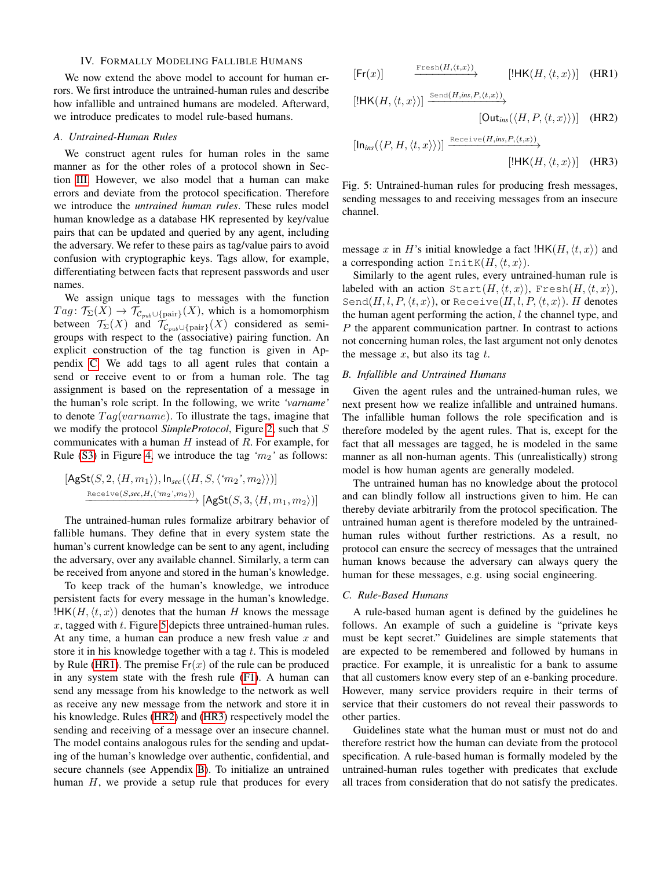## IV. FORMALLY MODELING FALLIBLE HUMANS

<span id="page-5-0"></span>We now extend the above model to account for human errors. We first introduce the untrained-human rules and describe how infallible and untrained humans are modeled. Afterward, we introduce predicates to model rule-based humans.

## <span id="page-5-3"></span>*A. Untrained-Human Rules*

We construct agent rules for human roles in the same manner as for the other roles of a protocol shown in Section [III.](#page-3-0) However, we also model that a human can make errors and deviate from the protocol specification. Therefore we introduce the *untrained human rules*. These rules model human knowledge as a database HK represented by key/value pairs that can be updated and queried by any agent, including the adversary. We refer to these pairs as tag/value pairs to avoid confusion with cryptographic keys. Tags allow, for example, differentiating between facts that represent passwords and user names.

We assign unique tags to messages with the function  $Tag\colon \mathcal{T}_{\Sigma}(X) \to \mathcal{T}_{\mathcal{C}_{pub}\cup \{\text{pair}\}}(X)$ , which is a homomorphism between  $\mathcal{T}_{\Sigma}(X)$  and  $\mathcal{T}_{\mathcal{C}_{pub}\cup\{\text{pair}\}}(X)$  considered as semigroups with respect to the (associative) pairing function. An explicit construction of the tag function is given in Appendix [C.](#page-14-1) We add tags to all agent rules that contain a send or receive event to or from a human role. The tag assignment is based on the representation of a message in the human's role script. In the following, we write *'varname'* to denote  $Tag(varname)$ . To illustrate the tags, imagine that we modify the protocol *SimpleProtocol*, Figure [2,](#page-3-1) such that S communicates with a human  $H$  instead of  $R$ . For example, for Rule [\(S3\)](#page-4-0) in Figure [4,](#page-4-0) we introduce the tag  $'m_2'$  as follows:

$$
[\mathsf{AgSt}(S, 2, \langle H, m_1 \rangle), \mathsf{In}_{sec}(\langle H, S, \langle \langle m_2 \rangle, m_2 \rangle \rangle)]
$$
  
\n
$$
\xrightarrow{\text{Receive}(S, sec, H, \langle \langle m_2 \rangle, m_2 \rangle)} [\mathsf{AgSt}(S, 3, \langle H, m_1, m_2 \rangle)]
$$

The untrained-human rules formalize arbitrary behavior of fallible humans. They define that in every system state the human's current knowledge can be sent to any agent, including the adversary, over any available channel. Similarly, a term can be received from anyone and stored in the human's knowledge.

To keep track of the human's knowledge, we introduce persistent facts for every message in the human's knowledge.  $HK(H, \langle t, x \rangle)$  denotes that the human H knows the message x, tagged with t. Figure [5](#page-5-2) depicts three untrained-human rules. At any time, a human can produce a new fresh value  $x$  and store it in his knowledge together with a tag  $t$ . This is modeled by Rule [\(HR1\)](#page-5-2). The premise  $Fr(x)$  of the rule can be produced in any system state with the fresh rule [\(F1\)](#page-4-1). A human can send any message from his knowledge to the network as well as receive any new message from the network and store it in his knowledge. Rules [\(HR2\)](#page-5-2) and [\(HR3\)](#page-5-2) respectively model the sending and receiving of a message over an insecure channel. The model contains analogous rules for the sending and updating of the human's knowledge over authentic, confidential, and secure channels (see Appendix [B\)](#page-14-2). To initialize an untrained human  $H$ , we provide a setup rule that produces for every

<span id="page-5-2"></span>
$$
[\mathsf{Fr}(x)] \qquad \xrightarrow{\text{Fresh}(H,\langle t,x\rangle)} \qquad [\mathsf{IHK}(H,\langle t,x\rangle)] \quad (\mathsf{HR1})
$$

$$
[!HK(H, \langle t, x \rangle)] \xrightarrow{\text{Send}(H, \text{ins}, P, \langle t, x \rangle)} [Out_{\text{ins}}(\langle H, P, \langle t, x \rangle \rangle)] \quad (HR2)
$$

$$
[\ln_{ins}(\langle P, H, \langle t, x \rangle \rangle)] \xrightarrow{\text{Receive}(H, ins, P, \langle t, x \rangle)} \text{[!HK(H, \langle t, x \rangle)]} \text{ (HR3)}
$$

Fig. 5: Untrained-human rules for producing fresh messages, sending messages to and receiving messages from an insecure channel.

message x in H's initial knowledge a fact  $HK(H, \langle t, x \rangle)$  and a corresponding action  $\text{InitK}(H, \langle t, x \rangle)$ .

Similarly to the agent rules, every untrained-human rule is labeled with an action  $\text{Start}(H, \langle t, x \rangle)$ , Fresh $(H, \langle t, x \rangle)$ , Send $(H, l, P, \langle t, x \rangle)$ , or Receive $(H, l, P, \langle t, x \rangle)$ . H denotes the human agent performing the action,  $l$  the channel type, and P the apparent communication partner. In contrast to actions not concerning human roles, the last argument not only denotes the message  $x$ , but also its tag  $t$ .

#### *B. Infallible and Untrained Humans*

Given the agent rules and the untrained-human rules, we next present how we realize infallible and untrained humans. The infallible human follows the role specification and is therefore modeled by the agent rules. That is, except for the fact that all messages are tagged, he is modeled in the same manner as all non-human agents. This (unrealistically) strong model is how human agents are generally modeled.

The untrained human has no knowledge about the protocol and can blindly follow all instructions given to him. He can thereby deviate arbitrarily from the protocol specification. The untrained human agent is therefore modeled by the untrainedhuman rules without further restrictions. As a result, no protocol can ensure the secrecy of messages that the untrained human knows because the adversary can always query the human for these messages, e.g. using social engineering.

## <span id="page-5-1"></span>*C. Rule-Based Humans*

A rule-based human agent is defined by the guidelines he follows. An example of such a guideline is "private keys must be kept secret." Guidelines are simple statements that are expected to be remembered and followed by humans in practice. For example, it is unrealistic for a bank to assume that all customers know every step of an e-banking procedure. However, many service providers require in their terms of service that their customers do not reveal their passwords to other parties.

Guidelines state what the human must or must not do and therefore restrict how the human can deviate from the protocol specification. A rule-based human is formally modeled by the untrained-human rules together with predicates that exclude all traces from consideration that do not satisfy the predicates.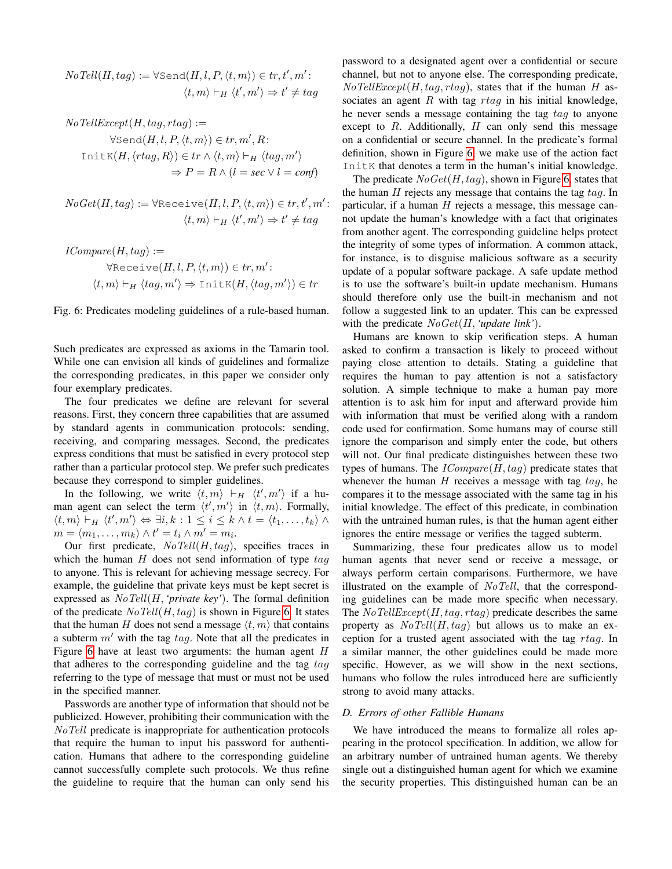<span id="page-6-0"></span> $No\textit{Tell}(H, tag) := \forall \texttt{Send}(H, l, P, \langle t, m \rangle) \in tr, t', m'$ :  $\langle t, m \rangle \vdash_H \langle t', m' \rangle \Rightarrow t' \neq tag$ 

$$
No\text{TellException}(H, tag, stag) :=
$$
  
\n
$$
\forall \text{Send}(H, l, P, \langle t, m \rangle) \in tr, m', R:
$$
  
\n
$$
\text{InitK}(H, \langle trag, R \rangle) \in tr \land \langle t, m \rangle \vdash_H \langle tag, m' \rangle
$$
  
\n
$$
\Rightarrow P = R \land (l = sec \lor l = conf)
$$

$$
NoGet(H, tag) := \forall \text{Receive}(H, l, P, \langle t, m \rangle) \in tr, t', m' : \langle t, m \rangle \vdash_H \langle t', m' \rangle \Rightarrow t' \neq tag
$$

$$
ICompare(H, tag) :=
$$
  
\n
$$
\forall \text{Receive}(H, l, P, \langle t, m \rangle) \in tr, m':
$$
  
\n
$$
\langle t, m \rangle \vdash_H \langle tag, m' \rangle \Rightarrow \text{InitK}(H, \langle tag, m' \rangle) \in tr
$$

Fig. 6: Predicates modeling guidelines of a rule-based human.

Such predicates are expressed as axioms in the Tamarin tool. While one can envision all kinds of guidelines and formalize the corresponding predicates, in this paper we consider only four exemplary predicates.

The four predicates we define are relevant for several reasons. First, they concern three capabilities that are assumed by standard agents in communication protocols: sending, receiving, and comparing messages. Second, the predicates express conditions that must be satisfied in every protocol step rather than a particular protocol step. We prefer such predicates because they correspond to simpler guidelines.

In the following, we write  $\langle t, m \rangle \vdash_H \langle t', m' \rangle$  if a human agent can select the term  $\langle t', m' \rangle$  in  $\langle t, m \rangle$ . Formally,  $\langle t, m \rangle \vdash_H \langle t', m' \rangle \Leftrightarrow \exists i, k : 1 \leq i \leq k \land t = \langle t_1, \ldots, t_k \rangle \land$  $m = \langle m_1, \ldots, m_k \rangle \wedge t' = t_i \wedge m' = m_i.$ 

Our first predicate,  $NoTell(H, tag)$ , specifies traces in which the human  $H$  does not send information of type  $tag$ to anyone. This is relevant for achieving message secrecy. For example, the guideline that private keys must be kept secret is expressed as NoTell(H, *'private key'*). The formal definition of the predicate  $NoTell(H, tag)$  is shown in Figure [6.](#page-6-0) It states that the human H does not send a message  $\langle t, m \rangle$  that contains a subterm  $m'$  with the tag tag. Note that all the predicates in Figure [6](#page-6-0) have at least two arguments: the human agent  $H$ that adheres to the corresponding guideline and the tag  $tag$ referring to the type of message that must or must not be used in the specified manner.

Passwords are another type of information that should not be publicized. However, prohibiting their communication with the NoTell predicate is inappropriate for authentication protocols that require the human to input his password for authentication. Humans that adhere to the corresponding guideline cannot successfully complete such protocols. We thus refine the guideline to require that the human can only send his password to a designated agent over a confidential or secure channel, but not to anyone else. The corresponding predicate,  $No TellExcept (H, tag, stag)$ , states that if the human H associates an agent  $R$  with tag  $rtag$  in his initial knowledge, he never sends a message containing the tag  $tag$  to anyone except to  $R$ . Additionally,  $H$  can only send this message on a confidential or secure channel. In the predicate's formal definition, shown in Figure [6,](#page-6-0) we make use of the action fact InitK that denotes a term in the human's initial knowledge.

The predicate  $NoGet(H, taq)$ , shown in Figure [6,](#page-6-0) states that the human  $H$  rejects any message that contains the tag  $tag. In$ particular, if a human  $H$  rejects a message, this message cannot update the human's knowledge with a fact that originates from another agent. The corresponding guideline helps protect the integrity of some types of information. A common attack, for instance, is to disguise malicious software as a security update of a popular software package. A safe update method is to use the software's built-in update mechanism. Humans should therefore only use the built-in mechanism and not follow a suggested link to an updater. This can be expressed with the predicate NoGet(H, *'update link'*).

Humans are known to skip verification steps. A human asked to confirm a transaction is likely to proceed without paying close attention to details. Stating a guideline that requires the human to pay attention is not a satisfactory solution. A simple technique to make a human pay more attention is to ask him for input and afterward provide him with information that must be verified along with a random code used for confirmation. Some humans may of course still ignore the comparison and simply enter the code, but others will not. Our final predicate distinguishes between these two types of humans. The  $ICompare(H, tag)$  predicate states that whenever the human  $H$  receives a message with tag  $taq$ , he compares it to the message associated with the same tag in his initial knowledge. The effect of this predicate, in combination with the untrained human rules, is that the human agent either ignores the entire message or verifies the tagged subterm.

Summarizing, these four predicates allow us to model human agents that never send or receive a message, or always perform certain comparisons. Furthermore, we have illustrated on the example of NoTell, that the corresponding guidelines can be made more specific when necessary. The  $No \textit{Telle} \textit{xcept}(H, tag, stag)$  predicate describes the same property as  $NoTell(H, tag)$  but allows us to make an exception for a trusted agent associated with the tag  $rtag$ . In a similar manner, the other guidelines could be made more specific. However, as we will show in the next sections, humans who follow the rules introduced here are sufficiently strong to avoid many attacks.

#### *D. Errors of other Fallible Humans*

We have introduced the means to formalize all roles appearing in the protocol specification. In addition, we allow for an arbitrary number of untrained human agents. We thereby single out a distinguished human agent for which we examine the security properties. This distinguished human can be an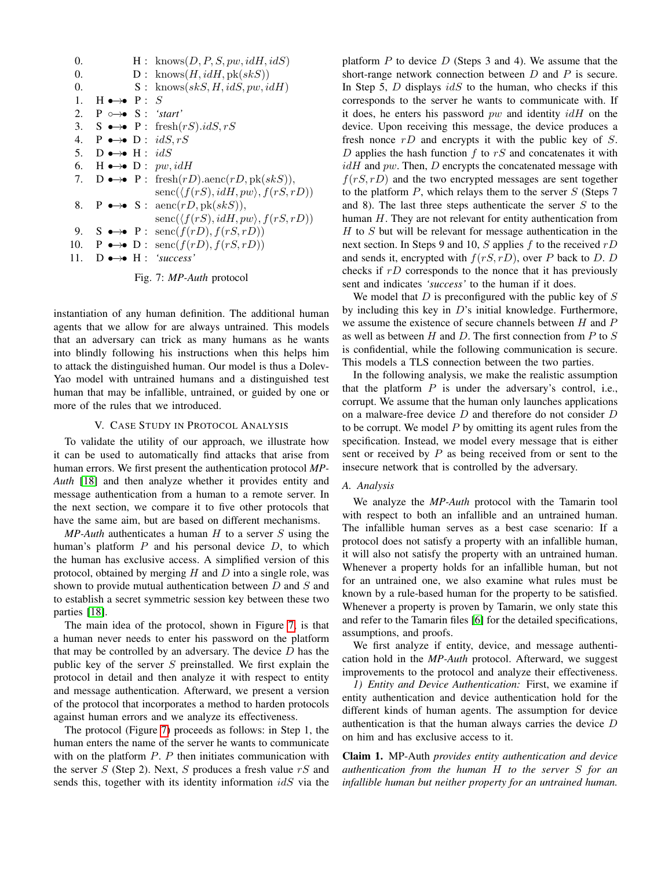<span id="page-7-1"></span>

| 0.  |                                      | $H: \text{knows}(D, P, S, pw, idH, idS)$                                            |
|-----|--------------------------------------|-------------------------------------------------------------------------------------|
| 0.  |                                      | $D:$ knows $(H, idH, pk(skS))$                                                      |
| 0.  |                                      | $S: \text{knows}(skS, H, idS, pw, idH)$                                             |
| 1.  | $H \rightarrow \bullet \quad P : S$  |                                                                                     |
| 2.  | $P \rightarrow \bullet S : 'start'$  |                                                                                     |
| 3.  |                                      | $S \rightarrow \bullet \quad P : \text{ fresh}(rS).idS, rS$                         |
| 4.  | $P \rightarrow \bullet D : idS, rS$  |                                                                                     |
| 5.  | $D \rightarrow \bullet H : idS$      |                                                                                     |
| 6.  | $H \rightarrow \bullet D : pw, idH$  |                                                                                     |
| 7.  |                                      | $D \rightarrow \bullet \quad P: \text{ fresh}(rD).\text{aenc}(rD, \text{pk}(skS)),$ |
|     |                                      | $\text{senc}(\langle f(rS), idH, pw \rangle, f(rS, rD))$                            |
| 8.  |                                      | $P \rightarrow S : \text{aenc}(rD, pk(skS)),$                                       |
|     |                                      | $\text{senc}(\langle f(rS), idH, pw \rangle, f(rS, rD))$                            |
| 9.  |                                      | $S \rightarrow \bullet \quad P : \text{senc}(f(rD), f(rS, rD))$                     |
|     |                                      | 10. <b>P</b> $\rightarrow$ <b>D</b> : senc $(f(rD), f(rS, rD))$                     |
| 11. | $D \rightarrow\bullet H$ : 'success' |                                                                                     |
|     |                                      |                                                                                     |

Fig. 7: *MP-Auth* protocol

instantiation of any human definition. The additional human agents that we allow for are always untrained. This models that an adversary can trick as many humans as he wants into blindly following his instructions when this helps him to attack the distinguished human. Our model is thus a Dolev-Yao model with untrained humans and a distinguished test human that may be infallible, untrained, or guided by one or more of the rules that we introduced.

#### V. CASE STUDY IN PROTOCOL ANALYSIS

<span id="page-7-0"></span>To validate the utility of our approach, we illustrate how it can be used to automatically find attacks that arise from human errors. We first present the authentication protocol *MP-Auth* [\[18\]](#page-13-16) and then analyze whether it provides entity and message authentication from a human to a remote server. In the next section, we compare it to five other protocols that have the same aim, but are based on different mechanisms.

*MP-Auth* authenticates a human H to a server S using the human's platform  $P$  and his personal device  $D$ , to which the human has exclusive access. A simplified version of this protocol, obtained by merging  $H$  and  $D$  into a single role, was shown to provide mutual authentication between  $D$  and  $S$  and to establish a secret symmetric session key between these two parties [\[18\]](#page-13-16).

The main idea of the protocol, shown in Figure [7,](#page-7-1) is that a human never needs to enter his password on the platform that may be controlled by an adversary. The device  $D$  has the public key of the server  $S$  preinstalled. We first explain the protocol in detail and then analyze it with respect to entity and message authentication. Afterward, we present a version of the protocol that incorporates a method to harden protocols against human errors and we analyze its effectiveness.

The protocol (Figure [7\)](#page-7-1) proceeds as follows: in Step 1, the human enters the name of the server he wants to communicate with on the platform  $P$ .  $P$  then initiates communication with the server S (Step 2). Next, S produces a fresh value  $rS$  and sends this, together with its identity information  $idS$  via the platform  $P$  to device  $D$  (Steps 3 and 4). We assume that the short-range network connection between D and P is secure. In Step 5,  $D$  displays  $idS$  to the human, who checks if this corresponds to the server he wants to communicate with. If it does, he enters his password  $pw$  and identity  $idH$  on the device. Upon receiving this message, the device produces a fresh nonce  $rD$  and encrypts it with the public key of S. D applies the hash function f to  $rS$  and concatenates it with  $idH$  and  $pw$ . Then,  $D$  encrypts the concatenated message with  $f(rS, rD)$  and the two encrypted messages are sent together to the platform  $P$ , which relays them to the server  $S$  (Steps 7 and 8). The last three steps authenticate the server S to the human H. They are not relevant for entity authentication from  $H$  to  $S$  but will be relevant for message authentication in the next section. In Steps 9 and 10, S applies f to the received  $rD$ and sends it, encrypted with  $f(rS, rD)$ , over P back to D. D checks if  $rD$  corresponds to the nonce that it has previously sent and indicates *'success'* to the human if it does.

We model that  $D$  is preconfigured with the public key of  $S$ by including this key in  $D$ 's initial knowledge. Furthermore, we assume the existence of secure channels between H and P as well as between  $H$  and  $D$ . The first connection from  $P$  to  $S$ is confidential, while the following communication is secure. This models a TLS connection between the two parties.

In the following analysis, we make the realistic assumption that the platform  $P$  is under the adversary's control, i.e., corrupt. We assume that the human only launches applications on a malware-free device  $D$  and therefore do not consider  $D$ to be corrupt. We model  $P$  by omitting its agent rules from the specification. Instead, we model every message that is either sent or received by  $P$  as being received from or sent to the insecure network that is controlled by the adversary.

#### *A. Analysis*

We analyze the *MP-Auth* protocol with the Tamarin tool with respect to both an infallible and an untrained human. The infallible human serves as a best case scenario: If a protocol does not satisfy a property with an infallible human, it will also not satisfy the property with an untrained human. Whenever a property holds for an infallible human, but not for an untrained one, we also examine what rules must be known by a rule-based human for the property to be satisfied. Whenever a property is proven by Tamarin, we only state this and refer to the Tamarin files [\[6\]](#page-13-17) for the detailed specifications, assumptions, and proofs.

We first analyze if entity, device, and message authentication hold in the *MP-Auth* protocol. Afterward, we suggest improvements to the protocol and analyze their effectiveness.

*1) Entity and Device Authentication:* First, we examine if entity authentication and device authentication hold for the different kinds of human agents. The assumption for device authentication is that the human always carries the device D on him and has exclusive access to it.

Claim 1. MP-Auth *provides entity authentication and device authentication from the human* H *to the server* S *for an infallible human but neither property for an untrained human.*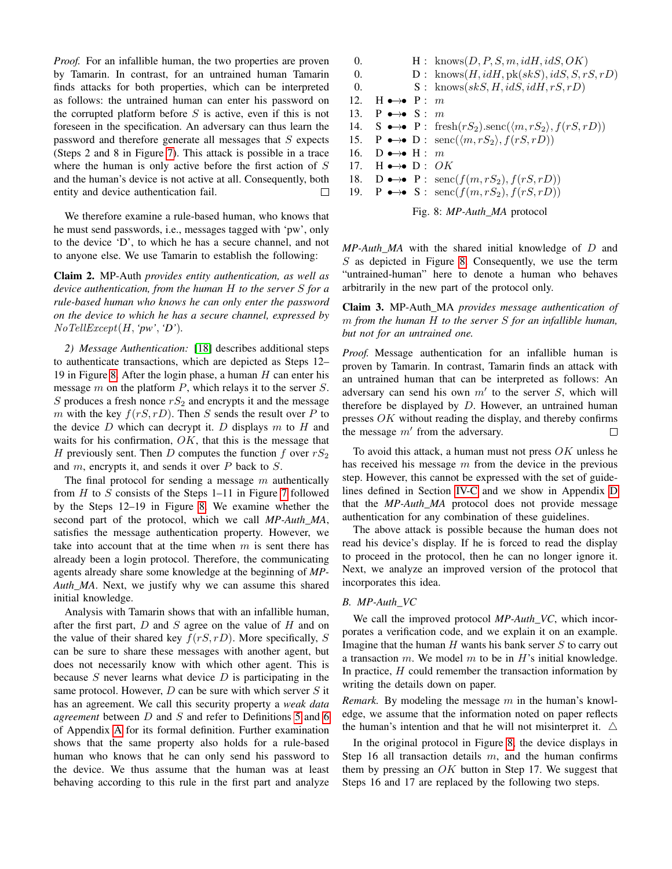*Proof.* For an infallible human, the two properties are proven by Tamarin. In contrast, for an untrained human Tamarin finds attacks for both properties, which can be interpreted as follows: the untrained human can enter his password on the corrupted platform before  $S$  is active, even if this is not foreseen in the specification. An adversary can thus learn the password and therefore generate all messages that  $S$  expects (Steps 2 and 8 in Figure [7\)](#page-7-1). This attack is possible in a trace where the human is only active before the first action of  $S$ and the human's device is not active at all. Consequently, both entity and device authentication fail.  $\Box$ 

We therefore examine a rule-based human, who knows that he must send passwords, i.e., messages tagged with 'pw', only to the device 'D', to which he has a secure channel, and not to anyone else. We use Tamarin to establish the following:

Claim 2. MP-Auth *provides entity authentication, as well as device authentication, from the human* H *to the server* S *for a rule-based human who knows he can only enter the password on the device to which he has a secure channel, expressed by* NoTellExcept(H, *'pw'*, *'D'*)*.*

*2) Message Authentication:* [\[18\]](#page-13-16) describes additional steps to authenticate transactions, which are depicted as Steps 12– 19 in Figure [8.](#page-8-0) After the login phase, a human  $H$  can enter his message  $m$  on the platform  $P$ , which relays it to the server  $S$ . S produces a fresh nonce  $rS_2$  and encrypts it and the message m with the key  $f(rS, rD)$ . Then S sends the result over P to the device  $D$  which can decrypt it.  $D$  displays  $m$  to  $H$  and waits for his confirmation,  $OK$ , that this is the message that H previously sent. Then D computes the function f over  $rS_2$ and  $m$ , encrypts it, and sends it over  $P$  back to  $S$ .

The final protocol for sending a message  $m$  authentically from  $H$  to  $S$  consists of the Steps 1–11 in Figure [7](#page-7-1) followed by the Steps 12–19 in Figure [8.](#page-8-0) We examine whether the second part of the protocol, which we call *MP-Auth\_MA*, satisfies the message authentication property. However, we take into account that at the time when  $m$  is sent there has already been a login protocol. Therefore, the communicating agents already share some knowledge at the beginning of *MP-Auth\_MA*. Next, we justify why we can assume this shared initial knowledge.

Analysis with Tamarin shows that with an infallible human, after the first part,  $D$  and  $S$  agree on the value of  $H$  and on the value of their shared key  $f(rS, rD)$ . More specifically, S can be sure to share these messages with another agent, but does not necessarily know with which other agent. This is because  $S$  never learns what device  $D$  is participating in the same protocol. However,  $D$  can be sure with which server  $S$  it has an agreement. We call this security property a *weak data agreement* between D and S and refer to Definitions [5](#page-14-3) and [6](#page-14-4) of Appendix [A](#page-13-13) for its formal definition. Further examination shows that the same property also holds for a rule-based human who knows that he can only send his password to the device. We thus assume that the human was at least behaving according to this rule in the first part and analyze

<span id="page-8-0"></span>

| 0.         |                                    | $H: \text{knows}(D, P, S, m, idH, idS, OK)$                                         |
|------------|------------------------------------|-------------------------------------------------------------------------------------|
| 0.         |                                    | $D:$ knows $(H, idH, pk(skS), idS, S, rS, rD)$                                      |
| $\Omega$ . |                                    | $S: \text{knows}(skS, H, idS, idH, rS, rD)$                                         |
| 12.        | $H \rightarrow \bullet \quad P: m$ |                                                                                     |
|            | 13. $P \leftrightarrow S : m$      |                                                                                     |
|            |                                    | 14. S $\rightarrow$ P : fresh $(rS_2)$ .senc $(\langle m, rS_2 \rangle, f(rS, rD))$ |
|            |                                    | 15. <b>P</b> $\rightarrow$ <b>D</b> : senc $(\langle m, rS_2 \rangle, f(rS, rD))$   |
|            | 16. $D \rightarrow \bullet H : m$  |                                                                                     |
|            | 17. H $\rightarrow$ D : OK         |                                                                                     |
|            |                                    | 18. D $\rightarrow$ P : senc $(f(m, rS_2), f(rS, rD))$                              |
|            |                                    | 19. <b>P</b> $\rightarrow$ <b>S</b> : senc $(f(m, rS_2), f(rS, rD))$                |
|            |                                    |                                                                                     |



*MP-Auth\_MA* with the shared initial knowledge of D and  $S$  as depicted in Figure [8.](#page-8-0) Consequently, we use the term "untrained-human" here to denote a human who behaves arbitrarily in the new part of the protocol only.

Claim 3. MP-Auth\_MA *provides message authentication of* m *from the human* H *to the server* S *for an infallible human, but not for an untrained one.*

*Proof.* Message authentication for an infallible human is proven by Tamarin. In contrast, Tamarin finds an attack with an untrained human that can be interpreted as follows: An adversary can send his own  $m'$  to the server  $S$ , which will therefore be displayed by  $D$ . However, an untrained human presses  $OK$  without reading the display, and thereby confirms the message  $m'$  from the adversary.  $\Box$ 

To avoid this attack, a human must not press  $OK$  unless he has received his message  $m$  from the device in the previous step. However, this cannot be expressed with the set of guidelines defined in Section [IV-C](#page-5-1) and we show in Appendix [D](#page-15-0) that the *MP-Auth\_MA* protocol does not provide message authentication for any combination of these guidelines.

The above attack is possible because the human does not read his device's display. If he is forced to read the display to proceed in the protocol, then he can no longer ignore it. Next, we analyze an improved version of the protocol that incorporates this idea.

#### *B. MP-Auth\_VC*

We call the improved protocol *MP-Auth\_VC*, which incorporates a verification code, and we explain it on an example. Imagine that the human  $H$  wants his bank server  $S$  to carry out a transaction  $m$ . We model  $m$  to be in  $H$ 's initial knowledge. In practice, H could remember the transaction information by writing the details down on paper.

*Remark.* By modeling the message m in the human's knowledge, we assume that the information noted on paper reflects the human's intention and that he will not misinterpret it.  $\triangle$ 

In the original protocol in Figure [8,](#page-8-0) the device displays in Step 16 all transaction details  $m$ , and the human confirms them by pressing an  $OK$  button in Step 17. We suggest that Steps 16 and 17 are replaced by the following two steps.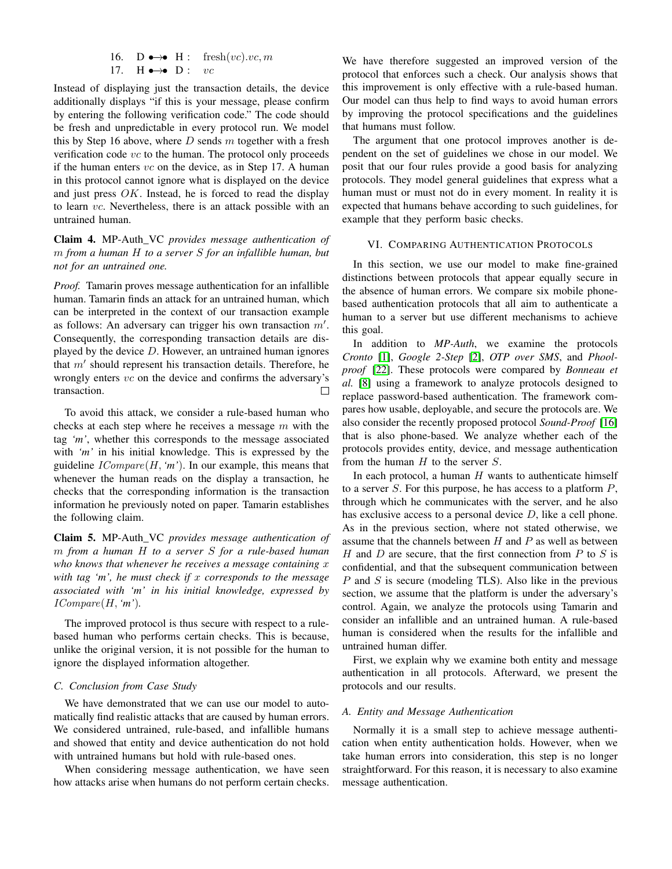16. D  $\rightarrow\rightarrow\rightarrow\rightarrow$  H : fresh $(vc).vc,m$ 17. H  $\rightarrow\bullet$  D :  $vc$ 

Instead of displaying just the transaction details, the device additionally displays "if this is your message, please confirm by entering the following verification code." The code should be fresh and unpredictable in every protocol run. We model this by Step 16 above, where  $D$  sends  $m$  together with a fresh verification code  $vc$  to the human. The protocol only proceeds if the human enters  $vc$  on the device, as in Step 17. A human in this protocol cannot ignore what is displayed on the device and just press  $OK$ . Instead, he is forced to read the display to learn *vc*. Nevertheless, there is an attack possible with an untrained human.

Claim 4. MP-Auth\_VC *provides message authentication of* m *from a human* H *to a server* S *for an infallible human, but not for an untrained one.*

*Proof.* Tamarin proves message authentication for an infallible human. Tamarin finds an attack for an untrained human, which can be interpreted in the context of our transaction example as follows: An adversary can trigger his own transaction  $m'$ . Consequently, the corresponding transaction details are displayed by the device  $D$ . However, an untrained human ignores that  $m'$  should represent his transaction details. Therefore, he wrongly enters  $vc$  on the device and confirms the adversary's transaction.  $\Box$ 

To avoid this attack, we consider a rule-based human who checks at each step where he receives a message  $m$  with the tag *'m'*, whether this corresponds to the message associated with *'m'* in his initial knowledge. This is expressed by the guideline  $ICompare(H, 'm')$ . In our example, this means that whenever the human reads on the display a transaction, he checks that the corresponding information is the transaction information he previously noted on paper. Tamarin establishes the following claim.

Claim 5. MP-Auth\_VC *provides message authentication of* m *from a human* H *to a server* S *for a rule-based human who knows that whenever he receives a message containing* x *with tag 'm', he must check if* x *corresponds to the message associated with 'm' in his initial knowledge, expressed by*  $ICompare(H, 'm').$ 

The improved protocol is thus secure with respect to a rulebased human who performs certain checks. This is because, unlike the original version, it is not possible for the human to ignore the displayed information altogether.

### *C. Conclusion from Case Study*

We have demonstrated that we can use our model to automatically find realistic attacks that are caused by human errors. We considered untrained, rule-based, and infallible humans and showed that entity and device authentication do not hold with untrained humans but hold with rule-based ones.

When considering message authentication, we have seen how attacks arise when humans do not perform certain checks.

We have therefore suggested an improved version of the protocol that enforces such a check. Our analysis shows that this improvement is only effective with a rule-based human. Our model can thus help to find ways to avoid human errors by improving the protocol specifications and the guidelines that humans must follow.

The argument that one protocol improves another is dependent on the set of guidelines we chose in our model. We posit that our four rules provide a good basis for analyzing protocols. They model general guidelines that express what a human must or must not do in every moment. In reality it is expected that humans behave according to such guidelines, for example that they perform basic checks.

#### VI. COMPARING AUTHENTICATION PROTOCOLS

<span id="page-9-0"></span>In this section, we use our model to make fine-grained distinctions between protocols that appear equally secure in the absence of human errors. We compare six mobile phonebased authentication protocols that all aim to authenticate a human to a server but use different mechanisms to achieve this goal.

In addition to *MP-Auth*, we examine the protocols *Cronto* [\[1\]](#page-12-4), *Google 2-Step* [\[2\]](#page-12-5), *OTP over SMS*, and *Phoolproof* [\[22\]](#page-13-18). These protocols were compared by *Bonneau et al.* [\[8\]](#page-13-4) using a framework to analyze protocols designed to replace password-based authentication. The framework compares how usable, deployable, and secure the protocols are. We also consider the recently proposed protocol *Sound-Proof* [\[16\]](#page-13-19) that is also phone-based. We analyze whether each of the protocols provides entity, device, and message authentication from the human  $H$  to the server  $S$ .

In each protocol, a human  $H$  wants to authenticate himself to a server  $S$ . For this purpose, he has access to a platform  $P$ , through which he communicates with the server, and he also has exclusive access to a personal device  $D$ , like a cell phone. As in the previous section, where not stated otherwise, we assume that the channels between  $H$  and  $P$  as well as between H and D are secure, that the first connection from  $P$  to  $S$  is confidential, and that the subsequent communication between  $P$  and  $S$  is secure (modeling TLS). Also like in the previous section, we assume that the platform is under the adversary's control. Again, we analyze the protocols using Tamarin and consider an infallible and an untrained human. A rule-based human is considered when the results for the infallible and untrained human differ.

First, we explain why we examine both entity and message authentication in all protocols. Afterward, we present the protocols and our results.

#### *A. Entity and Message Authentication*

Normally it is a small step to achieve message authentication when entity authentication holds. However, when we take human errors into consideration, this step is no longer straightforward. For this reason, it is necessary to also examine message authentication.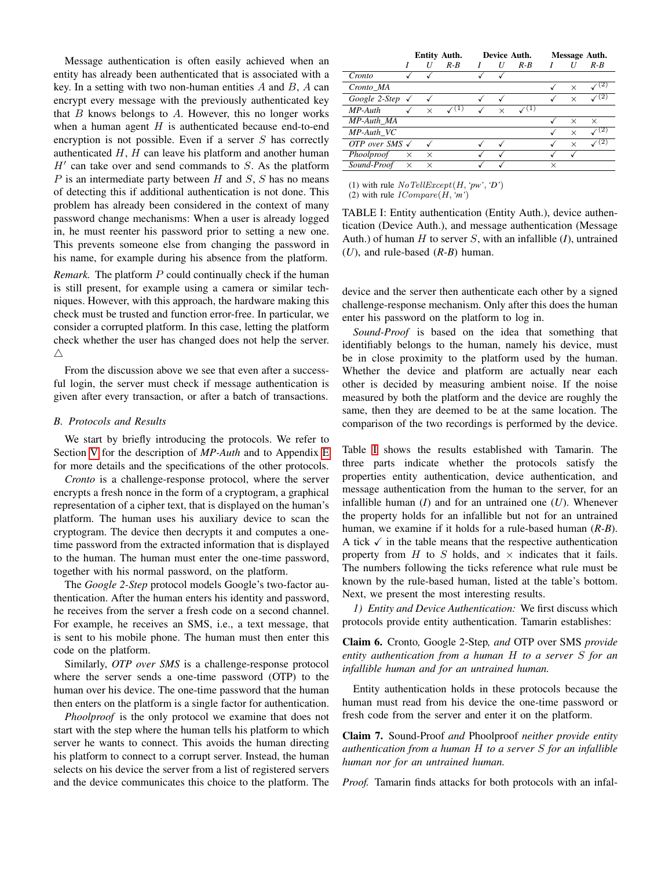Message authentication is often easily achieved when an entity has already been authenticated that is associated with a key. In a setting with two non-human entities  $A$  and  $B$ ,  $A$  can encrypt every message with the previously authenticated key that  $B$  knows belongs to  $A$ . However, this no longer works when a human agent  $H$  is authenticated because end-to-end encryption is not possible. Even if a server  $S$  has correctly authenticated  $H$ ,  $H$  can leave his platform and another human  $H'$  can take over and send commands to  $S$ . As the platform  $P$  is an intermediate party between  $H$  and  $S$ ,  $S$  has no means of detecting this if additional authentication is not done. This problem has already been considered in the context of many password change mechanisms: When a user is already logged in, he must reenter his password prior to setting a new one. This prevents someone else from changing the password in his name, for example during his absence from the platform.

*Remark.* The platform P could continually check if the human is still present, for example using a camera or similar techniques. However, with this approach, the hardware making this check must be trusted and function error-free. In particular, we consider a corrupted platform. In this case, letting the platform check whether the user has changed does not help the server.  $\triangle$ 

From the discussion above we see that even after a successful login, the server must check if message authentication is given after every transaction, or after a batch of transactions.

#### *B. Protocols and Results*

We start by briefly introducing the protocols. We refer to Section [V](#page-7-0) for the description of *MP-Auth* and to Appendix [E](#page-16-0) for more details and the specifications of the other protocols.

*Cronto* is a challenge-response protocol, where the server encrypts a fresh nonce in the form of a cryptogram, a graphical representation of a cipher text, that is displayed on the human's platform. The human uses his auxiliary device to scan the cryptogram. The device then decrypts it and computes a onetime password from the extracted information that is displayed to the human. The human must enter the one-time password, together with his normal password, on the platform.

The *Google 2-Step* protocol models Google's two-factor authentication. After the human enters his identity and password, he receives from the server a fresh code on a second channel. For example, he receives an SMS, i.e., a text message, that is sent to his mobile phone. The human must then enter this code on the platform.

Similarly, *OTP over SMS* is a challenge-response protocol where the server sends a one-time password (OTP) to the human over his device. The one-time password that the human then enters on the platform is a single factor for authentication.

*Phoolproof* is the only protocol we examine that does not start with the step where the human tells his platform to which server he wants to connect. This avoids the human directing his platform to connect to a corrupt server. Instead, the human selects on his device the server from a list of registered servers and the device communicates this choice to the platform. The

<span id="page-10-0"></span>

|                            | <b>Entity Auth.</b> |          | Device Auth.        |  |          | Message Auth.      |          |          |            |
|----------------------------|---------------------|----------|---------------------|--|----------|--------------------|----------|----------|------------|
|                            |                     |          | $R - R$             |  | I)       | $R - R$            |          |          | $R - B$    |
| Cronto                     |                     |          |                     |  |          |                    |          |          |            |
| Cronto MA                  |                     |          |                     |  |          |                    |          | $\times$ | (2)        |
| Google 2-Step $\checkmark$ |                     |          |                     |  |          |                    |          | $\times$ | $\sqrt{2}$ |
| $MP$ -Auth                 |                     | $\times$ | $\mathcal{N}^{(1)}$ |  | $\times$ | $\checkmark^{(1)}$ |          |          |            |
| MP-Auth MA                 |                     |          |                     |  |          |                    |          | $\times$ | $\times$   |
| MP-Auth VC                 |                     |          |                     |  |          |                    |          | $\times$ | (2)        |
| OTP over SMS $\checkmark$  |                     |          |                     |  |          |                    |          | $\times$ | $\sqrt{2}$ |
| Phoolproof                 | $\mathsf{X}$        | $\times$ |                     |  |          |                    |          |          |            |
| Sound-Proof                | $\mathsf{X}$        | $\times$ |                     |  |          |                    | $\times$ |          |            |

(1) with rule  $NoTellException(H, 'pw', 'D')$ (2) with rule ICompare(H, *'m'*)

TABLE I: Entity authentication (Entity Auth.), device authentication (Device Auth.), and message authentication (Message Auth.) of human  $H$  to server  $S$ , with an infallible  $(I)$ , untrained (*U*), and rule-based (*R-B*) human.

device and the server then authenticate each other by a signed challenge-response mechanism. Only after this does the human enter his password on the platform to log in.

*Sound-Proof* is based on the idea that something that identifiably belongs to the human, namely his device, must be in close proximity to the platform used by the human. Whether the device and platform are actually near each other is decided by measuring ambient noise. If the noise measured by both the platform and the device are roughly the same, then they are deemed to be at the same location. The comparison of the two recordings is performed by the device.

Table [I](#page-10-0) shows the results established with Tamarin. The three parts indicate whether the protocols satisfy the properties entity authentication, device authentication, and message authentication from the human to the server, for an infallible human (*I*) and for an untrained one (*U*). Whenever the property holds for an infallible but not for an untrained human, we examine if it holds for a rule-based human (*R-B*). A tick  $\checkmark$  in the table means that the respective authentication property from  $H$  to  $S$  holds, and  $\times$  indicates that it fails. The numbers following the ticks reference what rule must be known by the rule-based human, listed at the table's bottom. Next, we present the most interesting results.

*1) Entity and Device Authentication:* We first discuss which protocols provide entity authentication. Tamarin establishes:

Claim 6. Cronto*,* Google 2-Step*, and* OTP over SMS *provide entity authentication from a human* H *to a server* S *for an infallible human and for an untrained human.*

Entity authentication holds in these protocols because the human must read from his device the one-time password or fresh code from the server and enter it on the platform.

Claim 7. Sound-Proof *and* Phoolproof *neither provide entity authentication from a human* H *to a server* S *for an infallible human nor for an untrained human.*

*Proof.* Tamarin finds attacks for both protocols with an infal-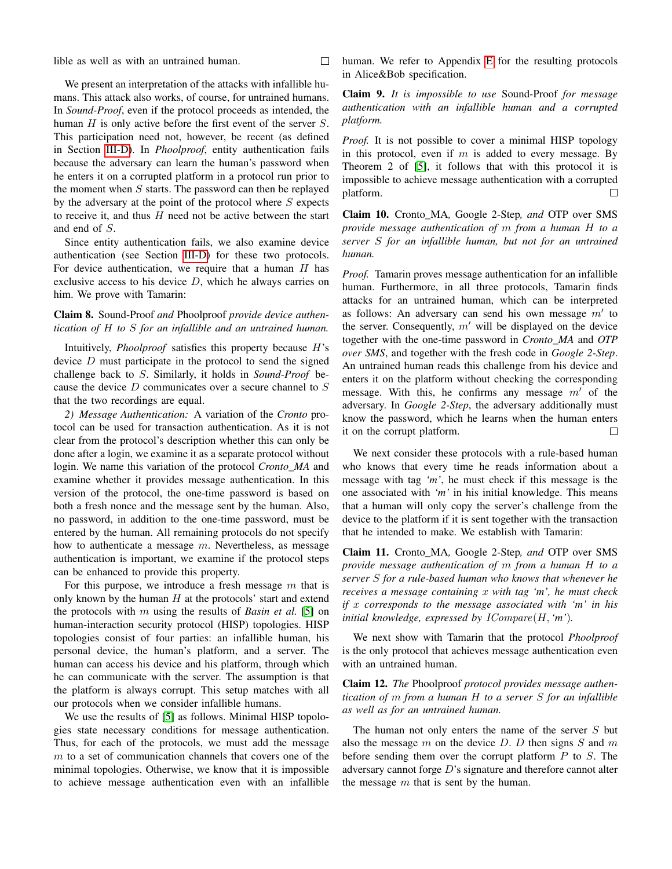lible as well as with an untrained human.

 $\Box$ 

We present an interpretation of the attacks with infallible humans. This attack also works, of course, for untrained humans. In *Sound-Proof*, even if the protocol proceeds as intended, the human  $H$  is only active before the first event of the server  $S$ . This participation need not, however, be recent (as defined in Section [III-D\)](#page-4-2). In *Phoolproof*, entity authentication fails because the adversary can learn the human's password when he enters it on a corrupted platform in a protocol run prior to the moment when  $S$  starts. The password can then be replayed by the adversary at the point of the protocol where  $S$  expects to receive it, and thus  $H$  need not be active between the start and end of S.

Since entity authentication fails, we also examine device authentication (see Section [III-D\)](#page-4-2) for these two protocols. For device authentication, we require that a human  $H$  has exclusive access to his device  $D$ , which he always carries on him. We prove with Tamarin:

## Claim 8. Sound-Proof *and* Phoolproof *provide device authentication of* H *to* S *for an infallible and an untrained human.*

Intuitively, *Phoolproof* satisfies this property because H's device  $D$  must participate in the protocol to send the signed challenge back to S. Similarly, it holds in *Sound-Proof* because the device D communicates over a secure channel to S that the two recordings are equal.

<span id="page-11-0"></span>*2) Message Authentication:* A variation of the *Cronto* protocol can be used for transaction authentication. As it is not clear from the protocol's description whether this can only be done after a login, we examine it as a separate protocol without login. We name this variation of the protocol *Cronto\_MA* and examine whether it provides message authentication. In this version of the protocol, the one-time password is based on both a fresh nonce and the message sent by the human. Also, no password, in addition to the one-time password, must be entered by the human. All remaining protocols do not specify how to authenticate a message m. Nevertheless, as message authentication is important, we examine if the protocol steps can be enhanced to provide this property.

For this purpose, we introduce a fresh message  $m$  that is only known by the human  $H$  at the protocols' start and extend the protocols with m using the results of *Basin et al.* [\[5\]](#page-13-6) on human-interaction security protocol (HISP) topologies. HISP topologies consist of four parties: an infallible human, his personal device, the human's platform, and a server. The human can access his device and his platform, through which he can communicate with the server. The assumption is that the platform is always corrupt. This setup matches with all our protocols when we consider infallible humans.

We use the results of [\[5\]](#page-13-6) as follows. Minimal HISP topologies state necessary conditions for message authentication. Thus, for each of the protocols, we must add the message  $m$  to a set of communication channels that covers one of the minimal topologies. Otherwise, we know that it is impossible to achieve message authentication even with an infallible human. We refer to Appendix [E](#page-16-0) for the resulting protocols in Alice&Bob specification.

Claim 9. *It is impossible to use* Sound-Proof *for message authentication with an infallible human and a corrupted platform.*

*Proof.* It is not possible to cover a minimal HISP topology in this protocol, even if  $m$  is added to every message. By Theorem 2 of [\[5\]](#page-13-6), it follows that with this protocol it is impossible to achieve message authentication with a corrupted platform. П

Claim 10. Cronto\_MA*,* Google 2-Step*, and* OTP over SMS *provide message authentication of* m *from a human* H *to a server* S *for an infallible human, but not for an untrained human.*

*Proof.* Tamarin proves message authentication for an infallible human. Furthermore, in all three protocols, Tamarin finds attacks for an untrained human, which can be interpreted as follows: An adversary can send his own message  $m'$  to the server. Consequently,  $m'$  will be displayed on the device together with the one-time password in *Cronto\_MA* and *OTP over SMS*, and together with the fresh code in *Google 2-Step*. An untrained human reads this challenge from his device and enters it on the platform without checking the corresponding message. With this, he confirms any message  $m'$  of the adversary. In *Google 2-Step*, the adversary additionally must know the password, which he learns when the human enters it on the corrupt platform.  $\Box$ 

We next consider these protocols with a rule-based human who knows that every time he reads information about a message with tag *'m'*, he must check if this message is the one associated with *'m'* in his initial knowledge. This means that a human will only copy the server's challenge from the device to the platform if it is sent together with the transaction that he intended to make. We establish with Tamarin:

Claim 11. Cronto\_MA*,* Google 2-Step*, and* OTP over SMS *provide message authentication of* m *from a human* H *to a server* S *for a rule-based human who knows that whenever he receives a message containing* x *with tag 'm', he must check if* x *corresponds to the message associated with 'm' in his initial knowledge, expressed by* ICompare(H, *'m'*)*.*

We next show with Tamarin that the protocol *Phoolproof* is the only protocol that achieves message authentication even with an untrained human.

Claim 12. *The* Phoolproof *protocol provides message authentication of* m *from a human* H *to a server* S *for an infallible as well as for an untrained human.*

The human not only enters the name of the server  $S$  but also the message  $m$  on the device  $D$ .  $D$  then signs  $S$  and  $m$ before sending them over the corrupt platform  $P$  to  $S$ . The adversary cannot forge D's signature and therefore cannot alter the message  $m$  that is sent by the human.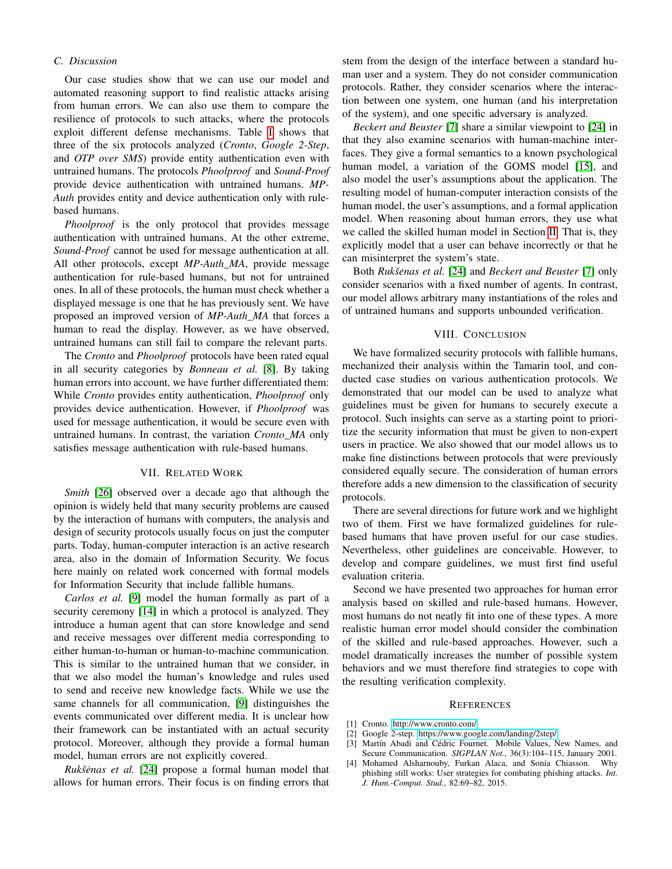## *C. Discussion*

Our case studies show that we can use our model and automated reasoning support to find realistic attacks arising from human errors. We can also use them to compare the resilience of protocols to such attacks, where the protocols exploit different defense mechanisms. Table [I](#page-10-0) shows that three of the six protocols analyzed (*Cronto*, *Google 2-Step*, and *OTP over SMS*) provide entity authentication even with untrained humans. The protocols *Phoolproof* and *Sound-Proof* provide device authentication with untrained humans. *MP-Auth* provides entity and device authentication only with rulebased humans.

*Phoolproof* is the only protocol that provides message authentication with untrained humans. At the other extreme, *Sound-Proof* cannot be used for message authentication at all. All other protocols, except *MP-Auth\_MA*, provide message authentication for rule-based humans, but not for untrained ones. In all of these protocols, the human must check whether a displayed message is one that he has previously sent. We have proposed an improved version of *MP-Auth\_MA* that forces a human to read the display. However, as we have observed, untrained humans can still fail to compare the relevant parts.

The *Cronto* and *Phoolproof* protocols have been rated equal in all security categories by *Bonneau et al.* [\[8\]](#page-13-4). By taking human errors into account, we have further differentiated them: While *Cronto* provides entity authentication, *Phoolproof* only provides device authentication. However, if *Phoolproof* was used for message authentication, it would be secure even with untrained humans. In contrast, the variation *Cronto\_MA* only satisfies message authentication with rule-based humans.

## VII. RELATED WORK

<span id="page-12-1"></span>*Smith* [\[26\]](#page-13-20) observed over a decade ago that although the opinion is widely held that many security problems are caused by the interaction of humans with computers, the analysis and design of security protocols usually focus on just the computer parts. Today, human-computer interaction is an active research area, also in the domain of Information Security. We focus here mainly on related work concerned with formal models for Information Security that include fallible humans.

*Carlos et al.* [\[9\]](#page-13-21) model the human formally as part of a security ceremony [\[14\]](#page-13-22) in which a protocol is analyzed. They introduce a human agent that can store knowledge and send and receive messages over different media corresponding to either human-to-human or human-to-machine communication. This is similar to the untrained human that we consider, in that we also model the human's knowledge and rules used to send and receive new knowledge facts. While we use the same channels for all communication, [\[9\]](#page-13-21) distinguishes the events communicated over different media. It is unclear how their framework can be instantiated with an actual security protocol. Moreover, although they provide a formal human model, human errors are not explicitly covered.

*Rukšenas et al. ˙* [\[24\]](#page-13-23) propose a formal human model that allows for human errors. Their focus is on finding errors that stem from the design of the interface between a standard human user and a system. They do not consider communication protocols. Rather, they consider scenarios where the interaction between one system, one human (and his interpretation of the system), and one specific adversary is analyzed.

*Beckert and Beuster* [\[7\]](#page-13-24) share a similar viewpoint to [\[24\]](#page-13-23) in that they also examine scenarios with human-machine interfaces. They give a formal semantics to a known psychological human model, a variation of the GOMS model [\[15\]](#page-13-25), and also model the user's assumptions about the application. The resulting model of human-computer interaction consists of the human model, the user's assumptions, and a formal application model. When reasoning about human errors, they use what we called the skilled human model in Section [II.](#page-2-0) That is, they explicitly model that a user can behave incorrectly or that he can misinterpret the system's state.

Both *Rukšenas et al. ˙* [\[24\]](#page-13-23) and *Beckert and Beuster* [\[7\]](#page-13-24) only consider scenarios with a fixed number of agents. In contrast, our model allows arbitrary many instantiations of the roles and of untrained humans and supports unbounded verification.

## VIII. CONCLUSION

<span id="page-12-2"></span>We have formalized security protocols with fallible humans, mechanized their analysis within the Tamarin tool, and conducted case studies on various authentication protocols. We demonstrated that our model can be used to analyze what guidelines must be given for humans to securely execute a protocol. Such insights can serve as a starting point to prioritize the security information that must be given to non-expert users in practice. We also showed that our model allows us to make fine distinctions between protocols that were previously considered equally secure. The consideration of human errors therefore adds a new dimension to the classification of security protocols.

There are several directions for future work and we highlight two of them. First we have formalized guidelines for rulebased humans that have proven useful for our case studies. Nevertheless, other guidelines are conceivable. However, to develop and compare guidelines, we must first find useful evaluation criteria.

Second we have presented two approaches for human error analysis based on skilled and rule-based humans. However, most humans do not neatly fit into one of these types. A more realistic human error model should consider the combination of the skilled and rule-based approaches. However, such a model dramatically increases the number of possible system behaviors and we must therefore find strategies to cope with the resulting verification complexity.

#### **REFERENCES**

- <span id="page-12-4"></span>[1] Cronto. [http://www.cronto.com/.](http://www.cronto.com/)
- <span id="page-12-5"></span>[2] Google 2-step. [https://www.google.com/landing/2step/.](https://www.google.com/landing/2step/)
- <span id="page-12-3"></span>[3] Martín Abadi and Cédric Fournet. Mobile Values, New Names, and Secure Communication. *SIGPLAN Not.*, 36(3):104–115, January 2001.
- <span id="page-12-0"></span>[4] Mohamed Alsharnouby, Furkan Alaca, and Sonia Chiasson. Why phishing still works: User strategies for combating phishing attacks. *Int. J. Hum.-Comput. Stud.*, 82:69–82, 2015.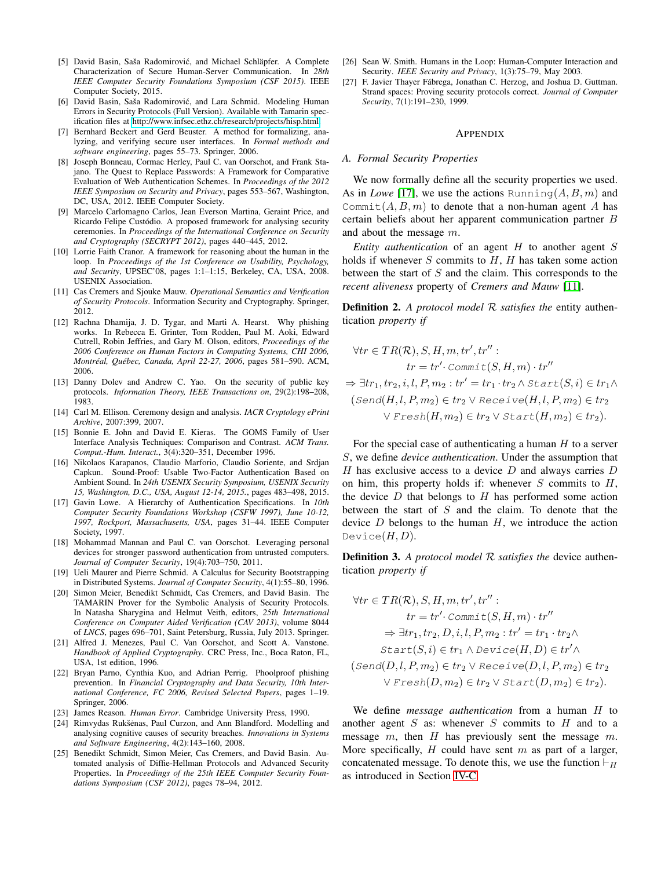- <span id="page-13-6"></span>[5] David Basin, Saša Radomirović, and Michael Schläpfer. A Complete Characterization of Secure Human-Server Communication. In *28th IEEE Computer Security Foundations Symposium (CSF 2015)*. IEEE Computer Society, 2015.
- <span id="page-13-17"></span>[6] David Basin, Saša Radomirović, and Lara Schmid. Modeling Human Errors in Security Protocols (Full Version). Available with Tamarin specification files at [http://www.infsec.ethz.ch/research/projects/hisp.html.](http://www.infsec.ethz.ch/research/projects/hisp.html)
- <span id="page-13-24"></span>[7] Bernhard Beckert and Gerd Beuster. A method for formalizing, analyzing, and verifying secure user interfaces. In *Formal methods and software engineering*, pages 55–73. Springer, 2006.
- <span id="page-13-4"></span>[8] Joseph Bonneau, Cormac Herley, Paul C. van Oorschot, and Frank Stajano. The Quest to Replace Passwords: A Framework for Comparative Evaluation of Web Authentication Schemes. In *Proceedings of the 2012 IEEE Symposium on Security and Privacy*, pages 553–567, Washington, DC, USA, 2012. IEEE Computer Society.
- <span id="page-13-21"></span>[9] Marcelo Carlomagno Carlos, Jean Everson Martina, Geraint Price, and Ricardo Felipe Custódio. A proposed framework for analysing security ceremonies. In *Proceedings of the International Conference on Security and Cryptography (SECRYPT 2012)*, pages 440–445, 2012.
- <span id="page-13-1"></span>[10] Lorrie Faith Cranor. A framework for reasoning about the human in the loop. In *Proceedings of the 1st Conference on Usability, Psychology, and Security*, UPSEC'08, pages 1:1–1:15, Berkeley, CA, USA, 2008. USENIX Association.
- <span id="page-13-26"></span>[11] Cas Cremers and Sjouke Mauw. *Operational Semantics and Verification of Security Protocols*. Information Security and Cryptography. Springer, 2012.
- <span id="page-13-0"></span>[12] Rachna Dhamija, J. D. Tygar, and Marti A. Hearst. Why phishing works. In Rebecca E. Grinter, Tom Rodden, Paul M. Aoki, Edward Cutrell, Robin Jeffries, and Gary M. Olson, editors, *Proceedings of the 2006 Conference on Human Factors in Computing Systems, CHI 2006, Montréal, Québec, Canada, April 22-27, 2006*, pages 581–590. ACM, 2006.
- <span id="page-13-9"></span>[13] Danny Dolev and Andrew C. Yao. On the security of public key protocols. *Information Theory, IEEE Transactions on*, 29(2):198–208, 1983.
- <span id="page-13-22"></span>[14] Carl M. Ellison. Ceremony design and analysis. *IACR Cryptology ePrint Archive*, 2007:399, 2007.
- <span id="page-13-25"></span>[15] Bonnie E. John and David E. Kieras. The GOMS Family of User Interface Analysis Techniques: Comparison and Contrast. *ACM Trans. Comput.-Hum. Interact.*, 3(4):320–351, December 1996.
- <span id="page-13-19"></span>[16] Nikolaos Karapanos, Claudio Marforio, Claudio Soriente, and Srdjan Capkun. Sound-Proof: Usable Two-Factor Authentication Based on Ambient Sound. In *24th USENIX Security Symposium, USENIX Security 15, Washington, D.C., USA, August 12-14, 2015.*, pages 483–498, 2015.
- <span id="page-13-10"></span>[17] Gavin Lowe. A Hierarchy of Authentication Specifications. In *10th Computer Security Foundations Workshop (CSFW 1997), June 10-12, 1997, Rockport, Massachusetts, USA*, pages 31–44. IEEE Computer Society, 1997.
- <span id="page-13-16"></span>[18] Mohammad Mannan and Paul C. van Oorschot. Leveraging personal devices for stronger password authentication from untrusted computers. *Journal of Computer Security*, 19(4):703–750, 2011.
- <span id="page-13-7"></span>[19] Ueli Maurer and Pierre Schmid. A Calculus for Security Bootstrapping in Distributed Systems. *Journal of Computer Security*, 4(1):55–80, 1996.
- <span id="page-13-2"></span>[20] Simon Meier, Benedikt Schmidt, Cas Cremers, and David Basin. The TAMARIN Prover for the Symbolic Analysis of Security Protocols. In Natasha Sharygina and Helmut Veith, editors, *25th International Conference on Computer Aided Verification (CAV 2013)*, volume 8044 of *LNCS*, pages 696–701, Saint Petersburg, Russia, July 2013. Springer.
- <span id="page-13-11"></span>[21] Alfred J. Menezes, Paul C. Van Oorschot, and Scott A. Vanstone. *Handbook of Applied Cryptography*. CRC Press, Inc., Boca Raton, FL, USA, 1st edition, 1996.
- <span id="page-13-18"></span>[22] Bryan Parno, Cynthia Kuo, and Adrian Perrig. Phoolproof phishing prevention. In *Financial Cryptography and Data Security, 10th International Conference, FC 2006, Revised Selected Papers*, pages 1–19. Springer, 2006.
- <span id="page-13-5"></span>[23] James Reason. *Human Error*. Cambridge University Press, 1990.
- <span id="page-13-23"></span>[24] Rimvydas Rukšėnas, Paul Curzon, and Ann Blandford. Modelling and analysing cognitive causes of security breaches. *Innovations in Systems and Software Engineering*, 4(2):143–160, 2008.
- <span id="page-13-3"></span>[25] Benedikt Schmidt, Simon Meier, Cas Cremers, and David Basin. Automated analysis of Diffie-Hellman Protocols and Advanced Security Properties. In *Proceedings of the 25th IEEE Computer Security Foundations Symposium (CSF 2012)*, pages 78–94, 2012.
- <span id="page-13-20"></span>[26] Sean W. Smith. Humans in the Loop: Human-Computer Interaction and Security. *IEEE Security and Privacy*, 1(3):75–79, May 2003.
- <span id="page-13-8"></span>[27] F. Javier Thayer Fábrega, Jonathan C. Herzog, and Joshua D. Guttman. Strand spaces: Proving security protocols correct. *Journal of Computer Security*, 7(1):191–230, 1999.

#### APPENDIX

#### <span id="page-13-13"></span>*A. Formal Security Properties*

We now formally define all the security properties we used. As in *Lowe* [\[17\]](#page-13-10), we use the actions Running $(A, B, m)$  and Commit $(A, B, m)$  to denote that a non-human agent A has certain beliefs about her apparent communication partner B and about the message m.

*Entity authentication* of an agent  $H$  to another agent  $S$ holds if whenever  $S$  commits to  $H$ ,  $H$  has taken some action between the start of  $S$  and the claim. This corresponds to the *recent aliveness* property of *Cremers and Mauw* [\[11\]](#page-13-26).

<span id="page-13-12"></span>Definition 2. *A protocol model* R *satisfies the* entity authentication *property if*

$$
\forall tr \in TR(\mathcal{R}), S, H, m, tr', tr'' :
$$
  
\n
$$
tr = tr' \cdot \text{Commit}(S, H, m) \cdot tr''
$$
  
\n
$$
\Rightarrow \exists tr_1, tr_2, i, l, P, m_2 : tr' = tr_1 \cdot tr_2 \wedge \text{Start}(S, i) \in tr_1 \wedge
$$
  
\n
$$
(\text{Send}(H, l, P, m_2) \in tr_2 \vee \text{Receive}(H, l, P, m_2) \in tr_2
$$
  
\n
$$
\vee \text{Fresh}(H, m_2) \in tr_2 \vee \text{Start}(H, m_2) \in tr_2).
$$

For the special case of authenticating a human  $H$  to a server S, we define *device authentication*. Under the assumption that  $H$  has exclusive access to a device  $D$  and always carries  $D$ on him, this property holds if: whenever  $S$  commits to  $H$ , the device  $D$  that belongs to  $H$  has performed some action between the start of  $S$  and the claim. To denote that the device  $D$  belongs to the human  $H$ , we introduce the action Device $(H, D)$ .

<span id="page-13-14"></span>Definition 3. *A protocol model* R *satisfies the* device authentication *property if*

$$
\forall tr \in TR(\mathcal{R}), S, H, m, tr', tr'':
$$
  
\n
$$
tr = tr' \cdot \text{Commit}(S, H, m) \cdot tr''
$$
  
\n
$$
\Rightarrow \exists tr_1, tr_2, D, i, l, P, m_2 : tr' = tr_1 \cdot tr_2 \wedge
$$
  
\n
$$
Start(S, i) \in tr_1 \wedge Device(H, D) \in tr' \wedge
$$
  
\n
$$
(\text{Send}(D, l, P, m_2) \in tr_2 \vee Receiver(D, l, P, m_2) \in tr_2
$$
  
\n
$$
\vee \text{Fresh}(D, m_2) \in tr_2 \vee Start(D, m_2) \in tr_2).
$$

<span id="page-13-15"></span>We define *message authentication* from a human H to another agent  $S$  as: whenever  $S$  commits to  $H$  and to a message  $m$ , then  $H$  has previously sent the message  $m$ . More specifically, H could have sent  $m$  as part of a larger, concatenated message. To denote this, we use the function  $\vdash_H$ as introduced in Section [IV-C.](#page-5-1)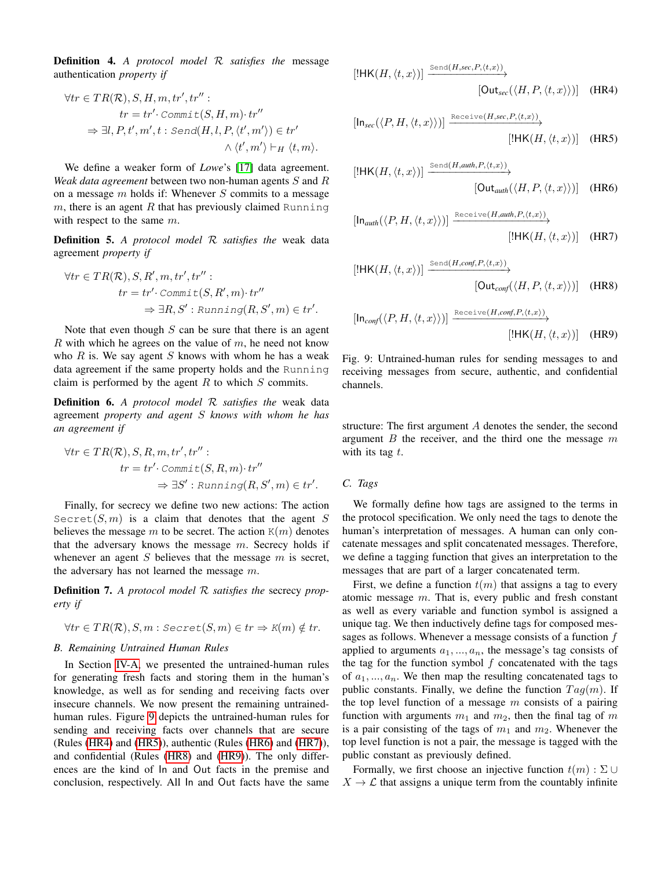Definition 4. *A protocol model* R *satisfies the* message authentication *property if*

$$
\forall tr \in TR(\mathcal{R}), S, H, m, tr', tr'':
$$
  
\n
$$
tr = tr' \cdot \text{Commit}(S, H, m) \cdot tr''
$$
  
\n
$$
\Rightarrow \exists l, P, t', m', t : \text{Send}(H, l, P, \langle t', m' \rangle) \in tr'
$$
  
\n
$$
\wedge \langle t', m' \rangle \vdash_{H} \langle t, m \rangle.
$$

We define a weaker form of *Lowe*'s [\[17\]](#page-13-10) data agreement. *Weak data agreement* between two non-human agents S and R on a message  $m$  holds if: Whenever  $S$  commits to a message m, there is an agent R that has previously claimed Running with respect to the same  $m$ .

<span id="page-14-3"></span>Definition 5. *A protocol model* R *satisfies the* weak data agreement *property if*

$$
\forall tr \in TR(R), S, R', m, tr', tr'' :
$$
  
\n
$$
tr = tr' \cdot \text{Commit}(S, R', m) \cdot tr''
$$
  
\n
$$
\Rightarrow \exists R, S' : \text{Running}(R, S', m) \in tr'.
$$

Note that even though  $S$  can be sure that there is an agent  $R$  with which he agrees on the value of  $m$ , he need not know who  $R$  is. We say agent  $S$  knows with whom he has a weak data agreement if the same property holds and the Running claim is performed by the agent  $R$  to which  $S$  commits.

<span id="page-14-4"></span>Definition 6. *A protocol model* R *satisfies the* weak data agreement *property and agent* S *knows with whom he has an agreement if*

$$
\forall tr \in TR(\mathcal{R}), S, R, m, tr', tr'' :
$$
  
\n
$$
tr = tr' \cdot \text{Commit}(S, R, m) \cdot tr''
$$
  
\n
$$
\Rightarrow \exists S' : \text{Running}(R, S', m) \in tr'.
$$

Finally, for secrecy we define two new actions: The action Secret $(S, m)$  is a claim that denotes that the agent S believes the message m to be secret. The action  $K(m)$  denotes that the adversary knows the message  $m$ . Secrecy holds if whenever an agent  $S$  believes that the message  $m$  is secret, the adversary has not learned the message  $m$ .

<span id="page-14-0"></span>Definition 7. *A protocol model* R *satisfies the* secrecy *property if*

$$
\forall tr \in TR(\mathcal{R}), S, m : \mathsf{Secret}(S,m) \in tr \Rightarrow \mathsf{K}(m) \notin tr.
$$

#### <span id="page-14-2"></span>*B. Remaining Untrained Human Rules*

In Section [IV-A,](#page-5-3) we presented the untrained-human rules for generating fresh facts and storing them in the human's knowledge, as well as for sending and receiving facts over insecure channels. We now present the remaining untrainedhuman rules. Figure [9](#page-14-5) depicts the untrained-human rules for sending and receiving facts over channels that are secure (Rules [\(HR4\)](#page-14-5) and [\(HR5\)](#page-14-5)), authentic (Rules [\(HR6\)](#page-14-5) and [\(HR7\)](#page-14-5)), and confidential (Rules [\(HR8\)](#page-14-5) and [\(HR9\)](#page-14-5)). The only differences are the kind of In and Out facts in the premise and conclusion, respectively. All In and Out facts have the same

<span id="page-14-5"></span>
$$
[!HK(H, \langle t, x \rangle)] \xrightarrow{\text{Send}(H, sec, P, \langle t, x \rangle)} [Out_{sec}(\langle H, P, \langle t, x \rangle \rangle)]
$$
 (HR4)

$$
[\ln_{sec}(\langle P, H, \langle t, x \rangle \rangle)] \xrightarrow{\text{Receive}(H, sec, P, \langle t, x \rangle)} [\text{HK}(H, \langle t, x \rangle)] \quad \text{(HR5)}
$$

$$
[!HK(H, \langle t, x \rangle)] \xrightarrow{\text{Send}(H, \text{auth}, P, \langle t, x \rangle)} [Out_{\text{auth}}(\langle H, P, \langle t, x \rangle \rangle)]
$$
 (HR6)

$$
[\ln_{auth}(\langle P, H, \langle t, x \rangle \rangle)] \xrightarrow{\text{Receive}(H,auth, P, \langle t, x \rangle)} \text{[IHK(H, \langle t, x \rangle)]} \text{ (HR7)}
$$

$$
[!HK(H, \langle t, x \rangle)] \xrightarrow{\text{Send}(H, conf, P, \langle t, x \rangle)} [Out_{conf}(\langle H, P, \langle t, x \rangle \rangle)]
$$
 (HR8)

$$
[\ln_{conf}(\langle P, H, \langle t, x \rangle \rangle)] \xrightarrow{\text{Receive}(H, conf, P, \langle t, x \rangle)} [\text{HK}(H, \langle t, x \rangle)] \quad (\text{HR9})
$$

Fig. 9: Untrained-human rules for sending messages to and receiving messages from secure, authentic, and confidential channels.

structure: The first argument A denotes the sender, the second argument  $B$  the receiver, and the third one the message  $m$ with its tag  $t$ .

## <span id="page-14-1"></span>*C. Tags*

We formally define how tags are assigned to the terms in the protocol specification. We only need the tags to denote the human's interpretation of messages. A human can only concatenate messages and split concatenated messages. Therefore, we define a tagging function that gives an interpretation to the messages that are part of a larger concatenated term.

First, we define a function  $t(m)$  that assigns a tag to every atomic message m. That is, every public and fresh constant as well as every variable and function symbol is assigned a unique tag. We then inductively define tags for composed messages as follows. Whenever a message consists of a function f applied to arguments  $a_1, ..., a_n$ , the message's tag consists of the tag for the function symbol  $f$  concatenated with the tags of  $a_1, ..., a_n$ . We then map the resulting concatenated tags to public constants. Finally, we define the function  $Taq(m)$ . If the top level function of a message  $m$  consists of a pairing function with arguments  $m_1$  and  $m_2$ , then the final tag of m is a pair consisting of the tags of  $m_1$  and  $m_2$ . Whenever the top level function is not a pair, the message is tagged with the public constant as previously defined.

Formally, we first choose an injective function  $t(m) : \Sigma \cup$  $X \to \mathcal{L}$  that assigns a unique term from the countably infinite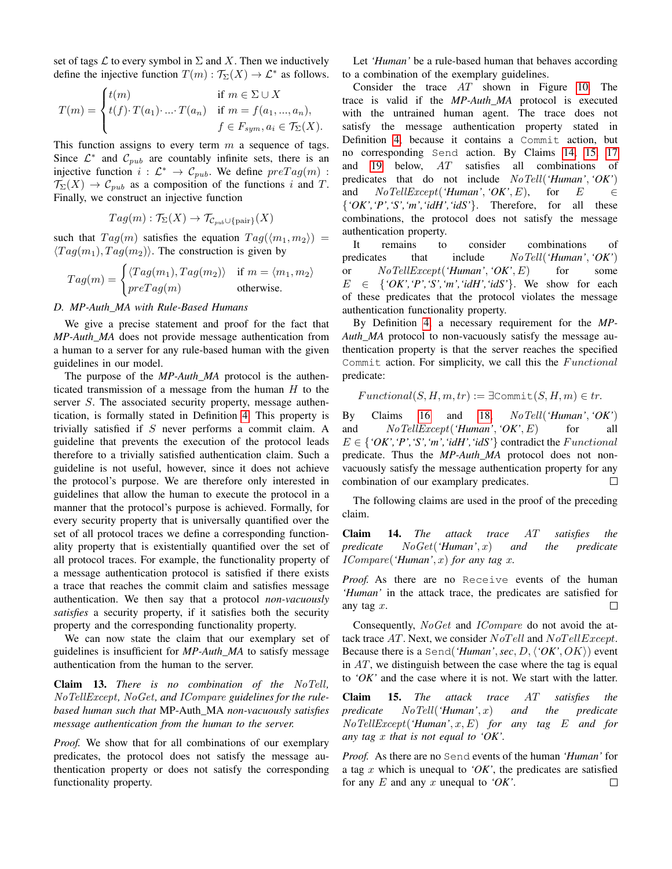set of tags  $\mathcal L$  to every symbol in  $\Sigma$  and X. Then we inductively define the injective function  $T(m) : \mathcal{T}_{\Sigma}(X) \to \mathcal{L}^*$  as follows.

$$
T(m) = \begin{cases} t(m) & \text{if } m \in \Sigma \cup X \\ t(f) \cdot T(a_1) \cdot \ldots \cdot T(a_n) & \text{if } m = f(a_1, \ldots, a_n), \\ & f \in F_{sym}, a_i \in \mathcal{T}_{\Sigma}(X). \end{cases}
$$

This function assigns to every term  $m$  a sequence of tags. Since  $\mathcal{L}^*$  and  $\mathcal{C}_{pub}$  are countably infinite sets, there is an injective function  $i: \mathcal{L}^* \to \mathcal{C}_{pub}$ . We define  $preTag(m):$  $\mathcal{T}_{\Sigma}(X) \to \mathcal{C}_{pub}$  as a composition of the functions i and T. Finally, we construct an injective function

$$
Tag(m): \mathcal{T}_{\Sigma}(X) \to \mathcal{T}_{\mathcal{C}_{pub} \cup \{\text{pair}\}}(X)
$$

such that  $Tag(m)$  satisfies the equation  $Tag(\langle m_1, m_2 \rangle)$  =  $\langle Tag(m_1), Tag(m_2)\rangle$ . The construction is given by

$$
Tag(m) = \begin{cases} \langle Tag(m_1), Tag(m_2) \rangle & \text{if } m = \langle m_1, m_2 \rangle \\ preTag(m) & \text{otherwise.} \end{cases}
$$

## <span id="page-15-0"></span>*D. MP-Auth\_MA with Rule-Based Humans*

We give a precise statement and proof for the fact that *MP-Auth\_MA* does not provide message authentication from a human to a server for any rule-based human with the given guidelines in our model.

The purpose of the *MP-Auth\_MA* protocol is the authenticated transmission of a message from the human  $H$  to the server S. The associated security property, message authentication, is formally stated in Definition [4.](#page-13-15) This property is trivially satisfied if S never performs a commit claim. A guideline that prevents the execution of the protocol leads therefore to a trivially satisfied authentication claim. Such a guideline is not useful, however, since it does not achieve the protocol's purpose. We are therefore only interested in guidelines that allow the human to execute the protocol in a manner that the protocol's purpose is achieved. Formally, for every security property that is universally quantified over the set of all protocol traces we define a corresponding functionality property that is existentially quantified over the set of all protocol traces. For example, the functionality property of a message authentication protocol is satisfied if there exists a trace that reaches the commit claim and satisfies message authentication. We then say that a protocol *non-vacuously satisfies* a security property, if it satisfies both the security property and the corresponding functionality property.

We can now state the claim that our exemplary set of guidelines is insufficient for *MP-Auth\_MA* to satisfy message authentication from the human to the server.

Claim 13. *There is no combination of the* NoTell*,* NoTellExcept*,* NoGet*, and* ICompare *guidelines for the rulebased human such that* MP-Auth\_MA *non-vacuously satisfies message authentication from the human to the server.*

*Proof.* We show that for all combinations of our exemplary predicates, the protocol does not satisfy the message authentication property or does not satisfy the corresponding functionality property.

Let *'Human'* be a rule-based human that behaves according to a combination of the exemplary guidelines.

Consider the trace AT shown in Figure [10.](#page-16-1) The trace is valid if the *MP-Auth\_MA* protocol is executed with the untrained human agent. The trace does not satisfy the message authentication property stated in Definition [4,](#page-13-15) because it contains a Commit action, but no corresponding Send action. By Claims [14,](#page-15-1) [15,](#page-15-2) [17](#page-16-2) and [19](#page-16-3) below, AT satisfies all combinations of predicates that do not include NoTell(*'Human'*, *'OK'*) and  $No\,Tell'Except('Human', 'OK', E),$  for  $E \in \mathcal{E}$ {*'OK','P','S','m','idH','idS'*}. Therefore, for all these combinations, the protocol does not satisfy the message authentication property.

It remains to consider combinations of predicates that include NoTell(*'Human'*, *'OK'*) or NoTellExcept(*'Human'*, *'OK'*, E) for some  $E \in \{^{\cdot}OK', 'P', 'S', 'm', 'idH', 'idS'\}.$  We show for each of these predicates that the protocol violates the message authentication functionality property.

By Definition [4,](#page-13-15) a necessary requirement for the *MP-Auth MA* protocol to non-vacuously satisfy the message authentication property is that the server reaches the specified Commit action. For simplicity, we call this the  $Functional$ predicate:

 $Functional(S, H, m, tr) := \exists \text{Commit}(S, H, m) \in tr.$ 

By Claims [16](#page-16-4) and [18,](#page-16-5) NoTell(*'Human'*, *'OK'*) and  $No\,TellException('Human', 'OK', E)$  for all  $E \in \{^{\cdot}OK', 'P', 'S', 'm', 'idH', 'idS'\}$  contradict the *Functional* predicate. Thus the *MP-Auth\_MA* protocol does not nonvacuously satisfy the message authentication property for any combination of our examplary predicates.  $\Box$ 

The following claims are used in the proof of the preceding claim.

<span id="page-15-1"></span>Claim 14. *The attack trace* AT *satisfies the predicate* NoGet(*'Human'*, x) *and the predicate* ICompare(*'Human'*, x) *for any tag* x*.*

*Proof.* As there are no Receive events of the human *'Human'* in the attack trace, the predicates are satisfied for any tag  $x$ .  $\Box$ 

Consequently, NoGet and ICompare do not avoid the attack trace AT. Next, we consider NoTell and NoTellExcept. Because there is a Send(*'Human'*, *sec*,  $D$ ,  $\langle 'OK', OK \rangle$ ) event in  $AT$ , we distinguish between the case where the tag is equal to *'OK'* and the case where it is not. We start with the latter.

<span id="page-15-2"></span>Claim 15. *The attack trace* AT *satisfies the predicate* NoTell(*'Human'*, x) *and the predicate* NoTellExcept(*'Human'*, x, E) *for any tag* E *and for any tag* x *that is not equal to 'OK'.*

*Proof.* As there are no Send events of the human *'Human'* for a tag  $x$  which is unequal to  $'OK'$ , the predicates are satisfied for any E and any x unequal to *'OK'*. $\Box$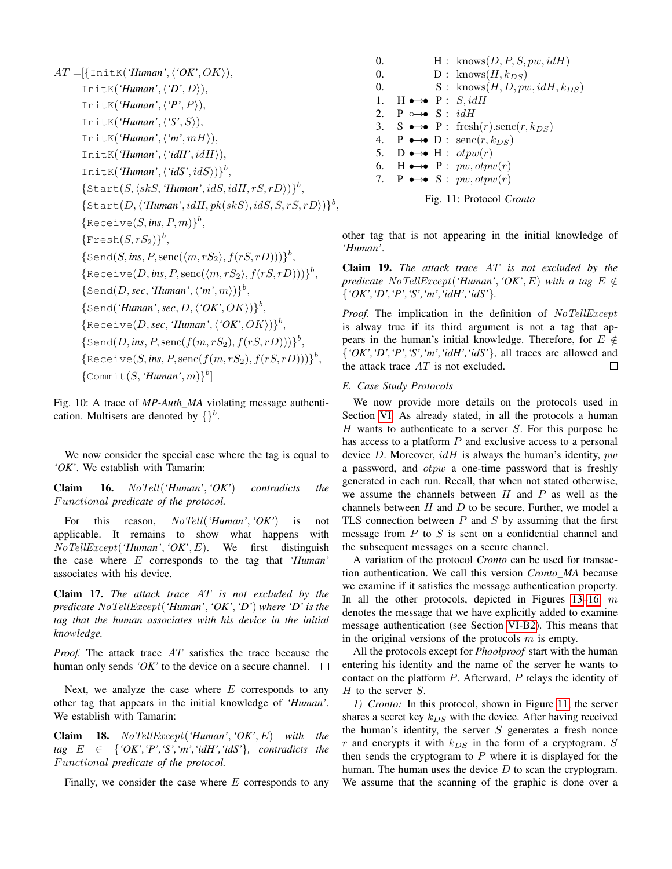<span id="page-16-1"></span> $AT = [\{\text{InitK}('Human', \langle 'OK', OK \rangle),\$ InitK(*'Human'*,h*'D'*, Di), InitK(*'Human'*,h*'P'*, Pi), InitK(*'Human'*,h*'S'*, Si),  $InitK('Human', \langle 'm', mH \rangle),$ InitK('Human',  $\langle 'idH', idH' \rangle$ ),  $InitK( 'Human', \langle 'idS', idS' \rangle )\}^b,$  ${\{\text{Start}(S, \langle skS, 'Human', idS, idH, rS, rD \rangle)\}}^b,$  ${\{\text{Start}(D, \langle 'Human', idH, pk(sks), idS, S, rS, rD \rangle)\}}^b,$  $\{\mathop{\mathrm{Receive}}(S, ins, P, m)\}^b,$  ${\rm \{\texttt{Fresh}(}S, rS_2)\}^b,$  $\{\text{Send}(S, ins, P, \text{senc}(\langle m, rS_2 \rangle, f(rS, rD)))\}^b,$  $\{\text{Receive}(D, ins, P, \text{senc}(\langle m, rS_2 \rangle, f(rS, rD)))\}^b,$  $\{\text{Send}(D, sec, 'Human', \langle 'm', m \rangle)\}^b,$  $\{\text{Send}(\textit{'Human'}, sec, D, \langle \textit{'OK'}, OK \rangle)\}^b,$  $\{ \text{Receive}(D, sec, 'Human', \langle 'OK', OK' \rangle) \}^b,$  ${\sf \{Send}(D, ins, P, \text{senc}(f(m, rS_2), f(rS, rD)))\}^b,$  $\{\text{Receive}(S, ins, P, \text{senc}(f(m, rS_2), f(rS, rD)))\}^b,$  $\{\text{Commit}(S, 'Human', m)\}^b$ 

Fig. 10: A trace of *MP-Auth\_MA* violating message authentication. Multisets are denoted by  $\{\}^b$ .

We now consider the special case where the tag is equal to *'OK'*. We establish with Tamarin:

<span id="page-16-4"></span>Claim 16. NoTell(*'Human'*, *'OK'*) *contradicts the* F unctional *predicate of the protocol.*

For this reason, NoTell(*'Human'*, *'OK'*) is not applicable. It remains to show what happens with NoTellExcept(*'Human'*, *'OK'*, E). We first distinguish the case where E corresponds to the tag that *'Human'* associates with his device.

<span id="page-16-2"></span>Claim 17. *The attack trace* AT *is not excluded by the predicate* NoTellExcept(*'Human'*, *'OK'*, *'D'*) *where 'D' is the tag that the human associates with his device in the initial knowledge.*

*Proof.* The attack trace AT satisfies the trace because the human only sends *'OK'* to the device on a secure channel.  $\square$ 

Next, we analyze the case where  $E$  corresponds to any other tag that appears in the initial knowledge of *'Human'*. We establish with Tamarin:

<span id="page-16-5"></span>Claim 18. NoTellExcept(*'Human'*, *'OK'*, E) *with the*  $tag E \in \{^{\circ}OK', 'P', 'S', 'm', 'idH', 'idS' \}$ *, contradicts the* F unctional *predicate of the protocol.*

Finally, we consider the case where  $E$  corresponds to any

<span id="page-16-6"></span>0. H : knows $(D, P, S, pw, idH)$ 0.  $D: \text{knows}(H, k_{DS})$ 0. S : knows $(H, D, pw, idH, k_{DS})$ 1. H  $\rightarrow\rightarrow$  P : S, idH 2. P  $\circ \rightarrow \bullet$  S : idH 3. S  $\leftrightarrow$  P : fresh $(r)$ .senc $(r, k_{DS})$ 4. **P**  $\rightarrow \bullet$  **D** : senc $(r, k_{DS})$ 5. D $\rightarrow\bullet$  H :  $otpw(r)$ 6. H  $\rightarrow\rightarrow$  P : pw, otpw(r) 7. **P**  $\rightarrow\rightarrow\bullet$  S :  $pw, otpw(r)$ Fig. 11: Protocol *Cronto*

other tag that is not appearing in the initial knowledge of *'Human'*.

<span id="page-16-3"></span>Claim 19. *The attack trace* AT *is not excluded by the predicate*  $No TellExcept('Human', 'OK', E) with a tag E \notin$ {*'OK','D','P','S','m','idH','idS'*}*.*

Proof. The implication in the definition of NoTellExcept is alway true if its third argument is not a tag that appears in the human's initial knowledge. Therefore, for  $E \notin$ {*'OK','D','P','S','m','idH','idS'*}, all traces are allowed and the attack trace  $AT$  is not excluded.  $\Box$ 

#### <span id="page-16-0"></span>*E. Case Study Protocols*

We now provide more details on the protocols used in Section [VI.](#page-9-0) As already stated, in all the protocols a human H wants to authenticate to a server  $S$ . For this purpose he has access to a platform  $P$  and exclusive access to a personal device D. Moreover,  $idH$  is always the human's identity,  $pw$ a password, and otpw a one-time password that is freshly generated in each run. Recall, that when not stated otherwise, we assume the channels between  $H$  and  $P$  as well as the channels between  $H$  and  $D$  to be secure. Further, we model a TLS connection between  $P$  and  $S$  by assuming that the first message from  $P$  to  $S$  is sent on a confidential channel and the subsequent messages on a secure channel.

A variation of the protocol *Cronto* can be used for transaction authentication. We call this version *Cronto\_MA* because we examine if it satisfies the message authentication property. In all the other protocols, depicted in Figures  $13-16$ , m denotes the message that we have explicitly added to examine message authentication (see Section [VI-B2\)](#page-11-0). This means that in the original versions of the protocols  $m$  is empty.

All the protocols except for *Phoolproof* start with the human entering his identity and the name of the server he wants to contact on the platform  $P$ . Afterward,  $P$  relays the identity of  $H$  to the server  $S$ .

*1) Cronto:* In this protocol, shown in Figure [11,](#page-16-6) the server shares a secret key  $k_{DS}$  with the device. After having received the human's identity, the server  $S$  generates a fresh nonce r and encrypts it with  $k_{DS}$  in the form of a cryptogram. S then sends the cryptogram to  $P$  where it is displayed for the human. The human uses the device  $D$  to scan the cryptogram. We assume that the scanning of the graphic is done over a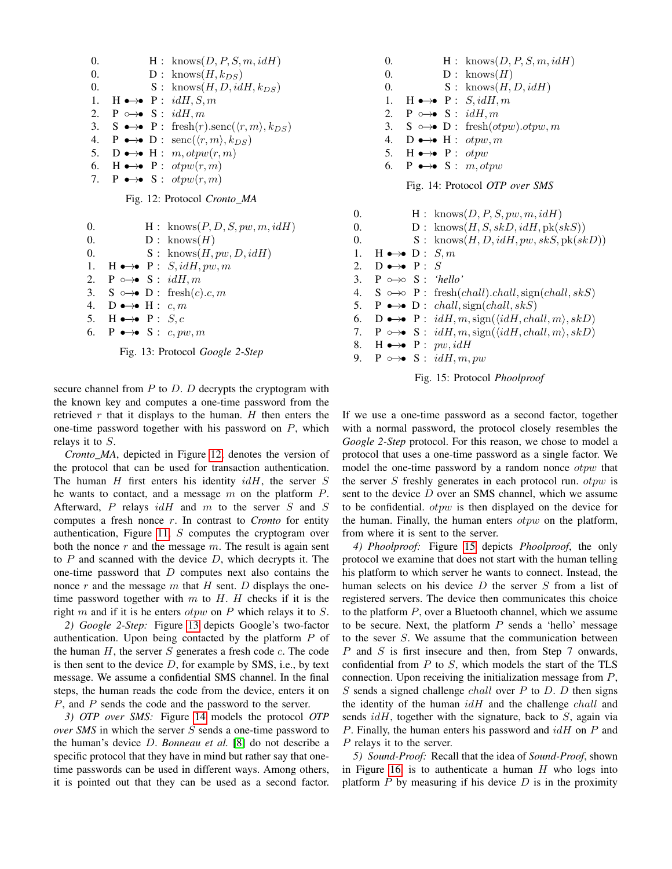<span id="page-17-1"></span>

| 0.<br>0.<br>0.<br>1.<br>2.<br>3.<br>4.<br>5. | $P \rightarrow \bullet S : idH, m$     | $H: \text{knows}(D, P, S, m, idH)$<br>$D:$ knows $(H, k_{DS})$<br>$S:$ knows $(H, D, idH, k_{DS})$<br>$H \rightarrow \bullet \quad P : idH, S, m$<br>$S \leftrightarrow \text{P}: \text{ fresh}(r). \text{senc}(\langle r, m \rangle, k_{DS})$<br>$P \leftrightarrow D : \text{senc}(\langle r, m \rangle, k_{DS})$<br>$D \rightarrow \bullet H : m, otpw(r,m)$<br>6. H $\bullet \rightarrow \bullet$ P : otpw(r, m)<br>7. <b>P</b> $\rightarrow\bullet$ <b>S</b> : <i>otpw</i> ( <i>r</i> , <i>m</i> )<br>Fig. 12: Protocol Cronto_MA |
|----------------------------------------------|----------------------------------------|----------------------------------------------------------------------------------------------------------------------------------------------------------------------------------------------------------------------------------------------------------------------------------------------------------------------------------------------------------------------------------------------------------------------------------------------------------------------------------------------------------------------------------------|
| 0.                                           |                                        | $H: \text{knows}(P, D, S, pw, m, idH)$                                                                                                                                                                                                                                                                                                                                                                                                                                                                                                 |
| 0.                                           |                                        | $D:$ knows $(H)$                                                                                                                                                                                                                                                                                                                                                                                                                                                                                                                       |
| 0.                                           |                                        | $S:$ knows $(H, pw, D, idH)$                                                                                                                                                                                                                                                                                                                                                                                                                                                                                                           |
| 1.                                           |                                        | $H \rightarrow \bullet \quad P : S, idH, pw, m$                                                                                                                                                                                                                                                                                                                                                                                                                                                                                        |
| 2.                                           | $P \rightarrow \bullet S : idH, m$     |                                                                                                                                                                                                                                                                                                                                                                                                                                                                                                                                        |
| 3.                                           |                                        | $S \rightarrow \bullet D : \text{ fresh}(c).c, m$                                                                                                                                                                                                                                                                                                                                                                                                                                                                                      |
| 4.                                           | $D \leftrightarrow M : c, m$           |                                                                                                                                                                                                                                                                                                                                                                                                                                                                                                                                        |
| 5.                                           | $H \rightarrow \bullet \quad P : S, c$ |                                                                                                                                                                                                                                                                                                                                                                                                                                                                                                                                        |
| 6.                                           | $P \rightarrow \bullet S : c, pw, m$   |                                                                                                                                                                                                                                                                                                                                                                                                                                                                                                                                        |

<span id="page-17-0"></span>Fig. 13: Protocol *Google 2-Step*

secure channel from  $P$  to  $D$ .  $D$  decrypts the cryptogram with the known key and computes a one-time password from the retrieved  $r$  that it displays to the human.  $H$  then enters the one-time password together with his password on  $P$ , which relays it to S.

*Cronto\_MA*, depicted in Figure [12,](#page-17-1) denotes the version of the protocol that can be used for transaction authentication. The human  $H$  first enters his identity  $idH$ , the server  $S$ he wants to contact, and a message  $m$  on the platform  $P$ . Afterward,  $P$  relays  $idH$  and  $m$  to the server  $S$  and  $S$ computes a fresh nonce r. In contrast to *Cronto* for entity authentication, Figure [11,](#page-16-6)  $S$  computes the cryptogram over both the nonce  $r$  and the message  $m$ . The result is again sent to  $P$  and scanned with the device  $D$ , which decrypts it. The one-time password that  $D$  computes next also contains the nonce  $r$  and the message  $m$  that  $H$  sent.  $D$  displays the onetime password together with  $m$  to  $H$ .  $H$  checks if it is the right m and if it is he enters  $otpw$  on P which relays it to S.

*2) Google 2-Step:* Figure [13](#page-17-0) depicts Google's two-factor authentication. Upon being contacted by the platform  $P$  of the human  $H$ , the server  $S$  generates a fresh code  $c$ . The code is then sent to the device  $D$ , for example by SMS, i.e., by text message. We assume a confidential SMS channel. In the final steps, the human reads the code from the device, enters it on P, and P sends the code and the password to the server.

*3) OTP over SMS:* Figure [14](#page-17-2) models the protocol *OTP over SMS* in which the server S sends a one-time password to the human's device D. *Bonneau et al.* [\[8\]](#page-13-4) do not describe a specific protocol that they have in mind but rather say that onetime passwords can be used in different ways. Among others, it is pointed out that they can be used as a second factor.

<span id="page-17-3"></span><span id="page-17-2"></span>

|    | 0.<br>$\text{knows}(D, P, S, m, idH)$<br>H:                                                |
|----|--------------------------------------------------------------------------------------------|
|    | 0.<br>$\mathrm{knows}(H)$<br>D:                                                            |
|    | $S:$ knows $(H, D, idH)$<br>0.                                                             |
|    | $H \rightarrow \bullet \quad P : S, idH, m$<br>1.                                          |
|    | $P \rightarrow \bullet S : idH, m$<br>2.                                                   |
|    | $S \rightarrow \bullet D : \text{ fresh}(otpw).otpw, m$<br>3.                              |
|    | 4.<br>$D \rightarrow\bullet H : otpw, m$                                                   |
|    | 5.<br>$H \rightarrow \bullet \quad P : \text{otp}$                                         |
|    | 6.<br>$P \rightarrow \bullet S : m, otpw$                                                  |
|    | Fig. 14: Protocol OTP over SMS                                                             |
| 0. | knows(D, P, S, pw, m, idH)<br>H:                                                           |
| 0. | $\text{knows}(H, S, skD, idH, \text{pk}(skS))$<br>D:                                       |
| 0. | $S:$ knows $(H, D, idH, pw, skS, pk(skD))$                                                 |
| 1. | $H \rightarrow \bullet D : S, m$                                                           |
| 2. | $D \rightarrow \bullet \quad P : S$                                                        |
| 3. | $P \rightarrow \infty S$ : 'hello'                                                         |
| 4. | $S \rightarrow \infty P$ : fresh( <i>chall</i> ). <i>chall</i> , sign( <i>chall</i> , skS) |
| 5. | $P \rightarrow \bullet D : \ \text{chall}, \text{sign}(\text{chall}, \text{skS})$          |
| 6. | $D \rightarrow \bullet \quad P: idH, m, sign(\langle idH, chall, m \rangle, skD)$          |
| 7. | $P \rightarrow \bullet S : idH, m, sign(\langle idH, shall, m \rangle, skD)$               |
| 8. | $H \rightarrow \bullet \quad P : pw, idH$                                                  |
| 9. | $P \rightarrow \bullet S : idH, m, pw$                                                     |
|    |                                                                                            |

Fig. 15: Protocol *Phoolproof*

If we use a one-time password as a second factor, together with a normal password, the protocol closely resembles the *Google 2-Step* protocol. For this reason, we chose to model a protocol that uses a one-time password as a single factor. We model the one-time password by a random nonce *otpw* that the server  $S$  freshly generates in each protocol run.  $otpw$  is sent to the device D over an SMS channel, which we assume to be confidential. otpw is then displayed on the device for the human. Finally, the human enters  $otpw$  on the platform, from where it is sent to the server.

*4) Phoolproof:* Figure [15](#page-17-3) depicts *Phoolproof*, the only protocol we examine that does not start with the human telling his platform to which server he wants to connect. Instead, the human selects on his device  $D$  the server  $S$  from a list of registered servers. The device then communicates this choice to the platform  $P$ , over a Bluetooth channel, which we assume to be secure. Next, the platform  $P$  sends a 'hello' message to the sever  $S$ . We assume that the communication between P and S is first insecure and then, from Step 7 onwards, confidential from  $P$  to  $S$ , which models the start of the TLS connection. Upon receiving the initialization message from  $P$ , S sends a signed challenge *chall* over  $P$  to  $D$ .  $D$  then signs the identity of the human  $idH$  and the challenge *chall* and sends  $idH$ , together with the signature, back to  $S$ , again via P. Finally, the human enters his password and  $idH$  on  $P$  and P relays it to the server.

*5) Sound-Proof:* Recall that the idea of *Sound-Proof*, shown in Figure [16,](#page-18-0) is to authenticate a human  $H$  who logs into platform  $P$  by measuring if his device  $D$  is in the proximity